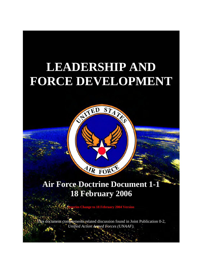# **ARADENSHIIF AND<br>DOOR DEVAAL ODMONG LEADERSHIP AND FORCE DEVELOPMENT**



## **20 September 2002 Air Force Doctrine Document 1-1 18 February 2006**

**hange to 18 February 2004 Version** 

This document complements related discussion found in Joint Publication 0-2, *Unified Action Armed Forces (UNAAF).*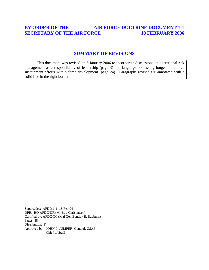## **BY ORDER OF THE AIR FORCE DOCTRINE DOCUMENT 1-1 SECRETARY OF THE AIR FORCE** 18 FEBRUARY 2006

#### **SUMMARY OF REVISIONS**

This document was revised on 6 January 2006 to incorporate discussions on operational risk management as a responsibility of leadership (page 3) and language addressing longer term force sustainment efforts within force development (page 24). Paragraphs revised are annotated with a solid line in the right border.

Supersedes: AFDD 1-1, 18 Feb 04 OPR: HQ AFDC/DR (Mr Bob Christensen) Certified by: AFDC/CC (Maj Gen Bentley B. Rayburn) Pages: 88 Distribution: F Approved by: JOHN P. JUMPER, General, USAF Chief of Staff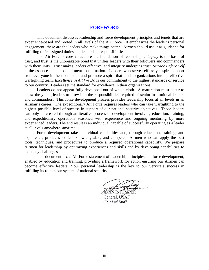#### **FOREWORD**

This document discusses leadership and force development principles and tenets that are experience-based and rooted in all levels of the Air Force. It emphasizes the leader's personal engagement; these are the leaders who make things better. Airmen should use it as guidance for fulfilling their assigned duties and leadership responsibilities.

The Air Force's core values are the foundation of leadership. *Integrity* is the basis of trust, and trust is the unbreakable bond that unifies leaders with their followers and commanders with their units. Trust makes leaders effective, and integrity underpins trust. *Service Before Self*  is the essence of our commitment to the nation. Leaders who serve selflessly inspire support from everyone in their command and promote a spirit that binds organizations into an effective warfighting team. *Excellence in All We Do* is our commitment to the highest standards of service to our country. Leaders set the standard for excellence in their organizations.

Leaders do not appear fully developed out of whole cloth. A maturation must occur to allow the young leaders to grow into the responsibilities required of senior institutional leaders and commanders. This force development process provides leadership focus at all levels in an Airman's career. The expeditionary Air Force requires leaders who can take warfighting to the highest possible level of success in support of our national security objectives. Those leaders can only be created through an iterative process of development involving education, training, and expeditionary operations seasoned with experience and ongoing mentoring by more experienced leaders. The end result is an individual capable of successfully operating as a leader at all levels anywhere, anytime.

Force development takes individual capabilities and, through education, training, and experience, produces skilled, knowledgeable, and competent Airmen who can apply the best tools, techniques, and procedures to produce a required operational capability. We prepare Airmen for leadership by optimizing experiences and skills and by developing capabilities to meet any challenges.

This document is *the* Air Force statement of leadership principles and force development, enabled by education and training, providing a framework for action ensuring our Airmen can become effective leaders. Your personal leadership is the key to our Service's success in fulfilling its role in our system of national security.

JOHN P JUMPER

General. USAF Chief of Staff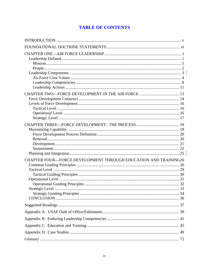## **TABLE OF CONTENTS**

| CHAPTER FOUR-FORCE DEVELOPMENT THROUGH EDUCATION AND TRAINING26 |  |
|-----------------------------------------------------------------|--|
|                                                                 |  |
|                                                                 |  |
|                                                                 |  |
|                                                                 |  |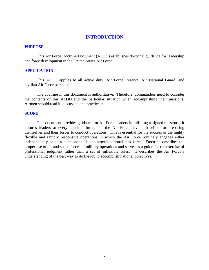#### **INTRODUCTION**

#### <span id="page-4-0"></span>**PURPOSE**

 This Air Force Doctrine Document (AFDD) establishes doctrinal guidance for leadership and force development in the United States Air Force.

#### **APPLICATION**

 This AFDD applies to all active duty, Air Force Reserve, Air National Guard, and civilian Air Force personnel.

 The doctrine in this document is authoritative. Therefore, commanders need to consider the contents of this AFDD and the particular situation when accomplishing their missions. Airmen should read it, discuss it, and practice it.

#### **SCOPE**

 This document provides guidance for Air Force leaders in fulfilling assigned missions. It ensures leaders at every echelon throughout the Air Force have a baseline for preparing themselves and their forces to conduct operations. This is essential for the success of the highly flexible and rapidly responsive operations in which the Air Force routinely engages either independently or as a component of a joint/multinational task force. Doctrine describes the proper use of air and space forces in military operations and serves as a guide for the exercise of professional judgment rather than a set of inflexible rules. It describes the Air Force's understanding of the best way to do the job to accomplish national objectives.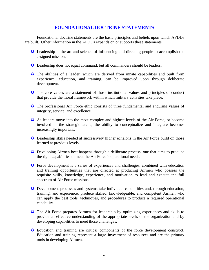## **FOUNDATIONAL DOCTRINE STATEMENTS**

<span id="page-5-0"></span> Foundational doctrine statements are the basic principles and beliefs upon which AFDDs are built. Other information in the AFDDs expands on or supports these statements.

- **C** Leadership is the art and science of influencing and directing people to accomplish the assigned mission.
- Leadership does not equal command, but all commanders should be leaders.
- The abilities of a leader, which are derived from innate capabilities and built from experience, education, and training, can be improved upon through deliberate development.
- **C** The core values are a statement of those institutional values and principles of conduct that provide the moral framework within which military activities take place.
- The professional Air Force ethic consists of three fundamental and enduring values of integrity, service, and excellence.
- As leaders move into the most complex and highest levels of the Air Force, or become involved in the strategic arena, the ability to conceptualize and integrate becomes increasingly important.
- Leadership skills needed at successively higher echelons in the Air Force build on those learned at previous levels.
- Developing Airmen best happens through a deliberate process, one that aims to produce the right capabilities to meet the Air Force's operational needs.
- Force development is a series of experiences and challenges, combined with education and training opportunities that are directed at producing Airmen who possess the requisite skills, knowledge, experience, and motivation to lead and execute the full spectrum of Air Force missions.
- Development processes and systems take individual capabilities and, through education, training, and experience, produce skilled, knowledgeable, and competent Airmen who can apply the best tools, techniques, and procedures to produce a required operational capability.
- The Air Force prepares Airmen for leadership by optimizing experiences and skills to provide an effective understanding of the appropriate levels of the organization and by developing capabilities to meet those challenges.
- Education and training are critical components of the force development construct. Education and training represent a large investment of resources and are the primary tools in developing Airmen.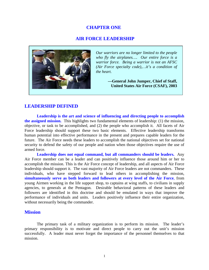#### **CHAPTER ONE**

#### **AIR FORCE LEADERSHIP**

<span id="page-6-0"></span>

*Our warriors are no longer limited to the people who fly the airplanes…. Our entire force is a warrior force. Being a warrior is not an AFSC (Air Force specialty code),…it's a condition of the heart.* 

> **—General John Jumper, Chief of Staff, United States Air Force (CSAF), 2003**

#### **LEADERSHIP DEFINED**

**Leadership is the art and science of influencing and directing people to accomplish the assigned mission.** This highlights two fundamental elements of leadership: (1) the mission, objective, or task to be accomplished, and (2) the people who accomplish it. All facets of Air Force leadership should support these two basic elements. Effective leadership transforms human potential into effective performance in the present and prepares capable leaders for the future. The Air Force needs these leaders to accomplish the national objectives set for national security to defend the safety of our people and nation when those objectives require the use of armed force.

**Leadership does not equal command, but all commanders should be leaders.** Any Air Force member can be a leader and can positively influence those around him or her to accomplish the mission. This is the Air Force concept of leadership, and all aspects of Air Force leadership should support it. The vast majority of Air Force leaders are not commanders. These individuals, who have stepped forward to lead others in accomplishing the mission, **simultaneously serve as both leaders and followers at every level of the Air Force**, from young Airmen working in the life support shop, to captains at wing staffs, to civilians in supply agencies, to generals at the Pentagon. Desirable behavioral patterns of these leaders and followers are identified in this doctrine and should be emulated in ways that improve the performance of individuals and units. Leaders positively influence their entire organization, without necessarily being the commander.

#### **Mission**

 The primary task of a military organization is to perform its mission. The leader's primary responsibility is to motivate and direct people to carry out the unit's mission successfully. A leader must never forget the importance of the personnel themselves to that mission.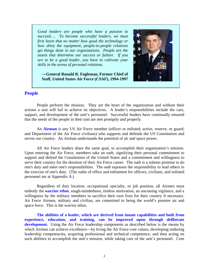<span id="page-7-0"></span>*Good leaders are people who have a passion to succeed…. To become successful leaders, we must first learn that no matter how good the technology or how shiny the equipment, people-to-people relations get things done in our organizations. People are the assets that determine our success or failure. If you are to be a good leader, you have to cultivate your skills in the arena of personal relations.* 

**—General Ronald R. Fogleman, Former Chief of Staff, United States Air Force (CSAF), 1994-1997** 



#### **People**

 People perform the mission. They are the heart of the organization and without their actions a unit will fail to achieve its objectives. A leader's responsibilities include the care, support, and development of the unit's personnel. Successful leaders have continually ensured that the needs of the people in their unit are met promptly and properly.

An **Airman** is any US Air Force member (officer or enlisted; active, reserve, or guard; and Department of the Air Force civilians) who supports and defends the US Constitution and serves our country. An Airman understands the potential of air and space power.

 All Air Force leaders share the same goal, to accomplish their organization's mission. Upon entering the Air Force, members take an oath, signifying their personal commitment to support and defend the Constitution of the United States and a commitment and willingness to serve their country for the duration of their Air Force career. The oath is a solemn promise to do one's duty and meet one's responsibilities. The oath espouses the responsibility to lead others in the exercise of one's duty. (The oaths of office and enlistment for officers, civilians, and enlisted personnel are at Appendix A.)

 Regardless of duty location, occupational specialty, or job position, all Airmen must embody the **warrior ethos**, tough-mindedness, tireless motivation, an unceasing vigilance, and a willingness by the military members to sacrifice their own lives for their country if necessary. Air Force Airmen, military and civilian, are committed to being the world's premier air and space force. This is the warrior ethos.

 **The abilities of a leader, which are derived from innate capabilities and built from experience, education, and training, can be improved upon through deliberate development.** Using the Air Force leadership components as described below is the means by which Airmen can achieve excellence—by living the Air Force core values, developing enduring leadership competencies, acquiring professional and technical competence, and then acting on such abilities to accomplish the unit's mission, while taking care of the unit's personnel. Core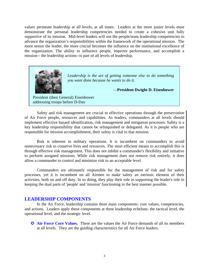<span id="page-8-0"></span>values permeate leadership at all levels, at all times. Leaders at the more junior levels must demonstrate the personal leadership competencies needed to create a cohesive unit fully supportive of its mission. Mid-level leaders will use the people/team leadership competencies to advance the organization's responsibilities within the framework of the operational mission. The more senior the leader, the more crucial becomes the influence on the institutional excellence of the organization. The ability to influence people, improve performance, and accomplish a mission-- the leadership actions--is part of all levels of leadership.



Safety and risk management are crucial to effective operations through the preservation of Air Force people, resources and capabilities. As leaders, commanders at all levels should implement effective hazard identification, risk management and mitigation processes. Safety is a key leadership responsibility that cannot be relinquished or delegated. As it is people who are responsible for mission accomplishment, their safety is vital to that mission.

Risk is inherent in military operations. It is incumbent on commanders to avoid unnecessary risk to conserve lives and resources. The most efficient means to accomplish this is through effective risk management. This does not inhibit a commander's flexibility and initiative to perform assigned missions. While risk management does not remove risk entirely, it does allow a commander to control and minimize risk to an acceptable level.

Commanders are ultimately responsible for the management of risk and for safety processes, yet it is incumbent on all Airmen to make safety an intrinsic element of their activities, both on and off duty. In so doing, they play their role in supporting the leader's role in keeping the dual parts of 'people' and 'mission' functioning in the best manner possible.

#### **LEADERSHIP COMPONENTS**

In the Air Force, leadership contains three main components: core values, competencies, and actions. Leaders apply these components at three leadership echelons: the tactical level, the operational level, and the strategic level.

**Air Force Core Values.** These are the values the Air Force demands of all its members at all levels. They are the guiding characteristics for all Air Force leaders.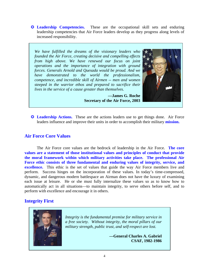<span id="page-9-0"></span> **Leadership Competencies.** These are the occupational skill sets and enduring leadership competencies that Air Force leaders develop as they progress along levels of increased responsibility.

*We have fulfilled the dreams of the visionary leaders who founded the Air Force, creating decisive and compelling effects from high above. We have renewed our focus on joint operations and the importance of integration with ground forces. Generals Arnold and Quesada would be proud. And we have demonstrated to the world the professionalism, competence, and incredible skill of Airmen -- men and women steeped in the warrior ethos and prepared to sacrifice their lives in the service of a cause greater than themselves.* 

> **—James G. Roche Secretary of the Air Force, 2003**



 **Leadership Actions.** These are the actions leaders use to get things done. Air Force leaders influence and improve their units in order to accomplish their military **mission.** 

#### **Air Force Core Values**

The Air Force core values are the bedrock of leadership in the Air Force. **The core values are a statement of those institutional values and principles of conduct that provide the moral framework within which military activities take place. The professional Air Force ethic consists of three fundamental and enduring values of integrity, service, and excellence.** This ethic is the set of values that guide the way Air Force members live and perform. Success hinges on the incorporation of these values. In today's time-compressed, dynamic, and dangerous modern battlespace an Airman does not have the luxury of examining each issue at leisure. He or she must fully internalize these values so as to know how to automatically act in all situations—to maintain integrity, to serve others before self, and to perform with excellence and encourage it in others.

#### **Integrity First**



*Integrity is the fundamental premise for military service in a free society. Without integrity, the moral pillars of our military strength, public trust, and self-respect are lost.* 

> **—General Charles A. Gabriel CSAF, 1982-1986**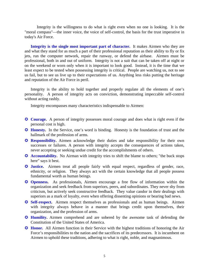Integrity is the willingness to do what is right even when no one is looking. It is the "moral compass"—the inner voice, the voice of self-control, the basis for the trust imperative in today's Air Force.

**Integrity is the single most important part of character.** It makes Airmen who they are and what they stand for as much a part of their professional reputation as their ability to fly or fix jets, run the computer network, repair the runway, or defend the airbase. Airmen must be professional, both in and out of uniform. Integrity is not a suit that can be taken off at night or on the weekend or worn only when it is important to look good. Instead, it is the time that we least expect to be tested when possessing integrity is critical. People are watching us, not to see us fail, but to see us live up to their expectations of us. Anything less risks putting the heritage and reputation of the Air Force in peril.

Integrity is the ability to hold together and properly regulate all the elements of one's personality. A person of integrity acts on conviction, demonstrating impeccable self-control without acting rashly.

Integrity encompasses many characteristics indispensable to Airmen:

- **Courage.** A person of integrity possesses moral courage and does what is right even if the personal cost is high.
- **Honesty.** In the Service, one's word is binding. Honesty is the foundation of trust and the hallmark of the profession of arms.
- **Responsibility.** Airmen acknowledge their duties and take responsibility for their own successes or failures. A person with integrity accepts the consequences of actions taken, never accepting or seeking undue credit for the accomplishments of others.
- **Accountability.** No Airman with integrity tries to shift the blame to others; "the buck stops" here" says it best.
- **Justice.** Airmen treat all people fairly with equal respect, regardless of gender, race, ethnicity, or religion. They always act with the certain knowledge that all people possess fundamental worth as human beings.
- **Openness.** As professionals, Airmen encourage a free flow of information within the organization and seek feedback from superiors, peers, and subordinates. They never shy from criticism, but actively seek constructive feedback. They value candor in their dealings with superiors as a mark of loyalty, even when offering dissenting opinions or bearing bad news.
- **Self-respect.** Airmen respect themselves as professionals and as human beings. Airmen with integrity always behave in a manner that brings credit upon themselves, their organization, and the profession of arms.
- **Humility.** Airmen comprehend and are sobered by the awesome task of defending the Constitution of the United States of America.
- **Honor.** All Airmen function in their Service with the highest traditions of honoring the Air Force's responsibilities to the nation and the sacrifices of its predecessors. It is incumbent on Airmen to uphold these traditions, adhering to what is right, noble, and magnanimous.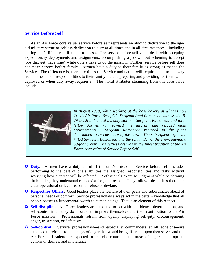#### **Service Before Self**

As an Air Force core value, service before self represents an abiding dedication to the ageold military virtue of selfless dedication to duty at all times and in all circumstances—including putting one's life at risk if called to do so. The service-before-self value deals with accepting expeditionary deployments and assignments, accomplishing a job without scheming to accept jobs that get "face time" while others have to do the mission. Further, service before self does not mean service before family. Airmen have a duty to their family as strong as that to the Service. The difference is, there are times the Service and nation will require them to be away from home. Their responsibilities to their family include preparing and providing for them when deployed or when duty away requires it. The moral attributes stemming from this core value include:



*In August 1950, while working at the base bakery at what is now Travis Air Force Base, CA, Sergeant Paul Ramoneda witnessed a B-29 crash in front of his duty station. Sergeant Ramoneda and three fellow Airmen ran toward the aircraft and rescued eight crewmembers. Sergeant Ramoneda returned to the plane determined to rescue more of the crew. The subsequent explosion killed Sergeant Ramoneda and the remainder of the crew, leaving a 60-foot crater. His selfless act was in the finest tradition of the Air Force core value of Service Before Self.* 

- **C** Duty. Airmen have a duty to fulfill the unit's mission. Service before self includes performing to the best of one's abilities the assigned responsibilities and tasks without worrying how a career will be affected. Professionals exercise judgment while performing their duties; they understand rules exist for good reason. They follow rules unless there is a clear operational or legal reason to refuse or deviate.
- **Respect for Others.** Good leaders place the welfare of their peers and subordinates ahead of personal needs or comfort. Service professionals always act in the certain knowledge that all people possess a fundamental worth as human beings. Tact is an element of this respect.
- **Self-discipline.** Air Force leaders are expected to act with confidence, determination, and self-control in all they do in order to improve themselves and their contribution to the Air Force mission. Professionals refrain from openly displaying self-pity, discouragement, anger, frustration, or defeatism.
- **Self-control.** Service professionals—and especially commanders at all echelons—are expected to refrain from displays of anger that would bring discredit upon themselves and the Air Force. Leaders are expected to exercise control in the areas of anger, inappropriate actions or desires, and intolerance.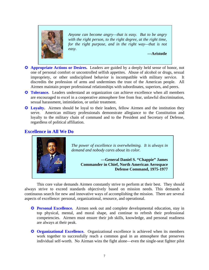

*Anyone can become angry—that is easy. But to be angry with the right person, to the right degree, at the right time, for the right purpose, and in the right way—that is not easy.* 

**—Aristotle** 

- **Appropriate Actions or Desires.** Leaders are guided by a deeply held sense of honor, not one of personal comfort or uncontrolled selfish appetites. Abuse of alcohol or drugs, sexual impropriety, or other undisciplined behavior is incompatible with military service. It discredits the profession of arms and undermines the trust of the American people. All Airmen maintain proper professional relationships with subordinates, superiors, and peers.
- **C** Tolerance. Leaders understand an organization can achieve excellence when all members are encouraged to excel in a cooperative atmosphere free from fear, unlawful discrimination, sexual harassment, intimidation, or unfair treatment.
- **Loyalty.** Airmen should be loyal to their leaders, fellow Airmen and the institution they serve. American military professionals demonstrate allegiance to the Constitution and loyalty to the military chain of command and to the President and Secretary of Defense, regardless of political affiliation.

## **Excellence in All We Do**



*The power of excellence is overwhelming. It is always in demand and nobody cares about its color.* 

**—General Daniel S. "Chappie" James Commander in Chief, North American Aerospace Defense Command, 1975-1977** 

 This core value demands Airmen constantly strive to perform at their best. They should always strive to exceed standards objectively based on mission needs. This demands a continuous search for new and innovative ways of accomplishing the mission. There are several aspects of excellence: personal, organizational, resource, and operational.

- **Personal Excellence.** Airmen seek out and complete developmental education, stay in top physical, mental, and moral shape, and continue to refresh their professional competencies. Airmen must ensure their job skills, knowledge, and personal readiness are always at their peak.
- **Organizational Excellence.** Organizational excellence is achieved when its members work together to successfully reach a common goal in an atmosphere that preserves individual self-worth. No Airman wins the fight alone—even the single-seat fighter pilot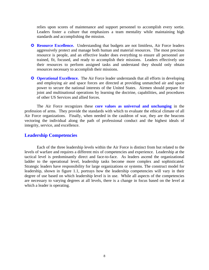<span id="page-13-0"></span>relies upon scores of maintenance and support personnel to accomplish every sortie. Leaders foster a culture that emphasizes a team mentality while maintaining high standards and accomplishing the mission.

- **C** Resource Excellence. Understanding that budgets are not limitless, Air Force leaders aggressively protect and manage both human and material resources. The most precious resource is people, and an effective leader does everything to ensure all personnel are trained, fit, focused, and ready to accomplish their missions. Leaders effectively use their resources to perform assigned tasks and understand they should only obtain resources necessary to accomplish their missions.
- **Operational Excellence.** The Air Force leader understands that all efforts in developing and employing air and space forces are directed at providing unmatched air and space power to secure the national interests of the United States. Airmen should prepare for joint and multinational operations by learning the doctrine, capabilities, and procedures of other US Services and allied forces.

The Air Force recognizes these **core values as universal and unchanging** in the profession of arms. They provide the standards with which to evaluate the ethical climate of all Air Force organizations. Finally, when needed in the cauldron of war, they are the beacons vectoring the individual along the path of professional conduct and the highest ideals of integrity, service, and excellence.

#### **Leadership Competencies**

 Each of the three leadership levels within the Air Force is distinct from but related to the levels of warfare and requires a different mix of competencies and experience. Leadership at the tactical level is predominantly direct and face-to-face. As leaders ascend the organizational ladder to the operational level, leadership tasks become more complex and sophisticated. Strategic leaders have responsibility for large organizations or systems. The construct model for leadership, shown in figure 1.1, portrays how the leadership competencies will vary in their degree of use based on which leadership level is in use. While all aspects of the competencies are necessary to varying degrees at all levels, there is a change in focus based on the level at which a leader is operating.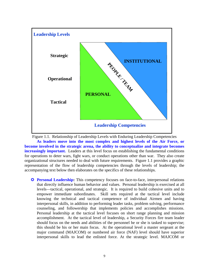

Figure 1.1. Relationship of Leadership Levels with Enduring Leadership Competencies

**As leaders move into the most complex and highest levels of the Air Force, or become involved in the strategic arena, the ability to conceptualize and integrate becomes increasingly important.** Leaders at this level focus on establishing the fundamental conditions for operations to deter wars, fight wars, or conduct operations other than war. They also create organizational structures needed to deal with future requirements. Figure 1.1 provides a graphic representation of the flow of leadership competencies through the levels of leadership; the accompanying text below then elaborates on the specifics of these relationships.

**Personal Leadership:** This competency focuses on face-to-face, interpersonal relations that directly influence human behavior and values. Personal leadership is exercised at all levels—tactical, operational, and strategic. It is required to build cohesive units and to empower immediate subordinates. Skill sets required at the tactical level include knowing the technical and tactical competence of individual Airmen and having interpersonal skills, in addition to performing leader tasks, problem solving, performance counseling, and followership that implements policies and accomplishes missions. Personal leadership at the tactical level focuses on short range planning and mission accomplishment. At the tactical level of leadership, a Security Forces fire team leader should focus on the needs and abilities of the personnel he or she is tasked to supervise; this should be his or her main focus. At the operational level a master sergeant at the major command (MAJCOM) or numbered air force (NAF) level should have superior interpersonal skills to lead the enlisted force. At the strategic level. MAJCOM or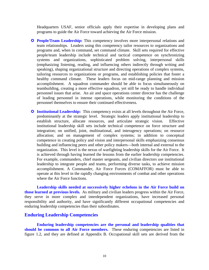Headquarters USAF, senior officials apply their expertise in developing plans and programs to guide the Air Force toward achieving the Air Force mission.

- **People/Team Leadership:** This competency involves more interpersonal relations and team relationships. Leaders using this competency tailor resources to organizations and programs and, when in command, set command climate. Skill sets required for effective people/team leadership include technical and tactical competence on synchronizing systems and organizations, sophisticated problem solving, interpersonal skills (emphasizing listening, reading, and influencing others indirectly through writing and speaking), shaping organizational structure and directing operations of complex systems, tailoring resources to organizations or programs, and establishing policies that foster a healthy command climate. These leaders focus on mid-range planning and mission accomplishment. A squadron commander should be able to focus simultaneously on teambuilding, creating a more effective squadron, yet still be ready to handle individual personnel issues that arise. An air and space operations center director has the challenge of leading personnel in intense operations, while monitoring the conditions of the personnel themselves to ensure their continued effectiveness.
- **Institutional Leadership:** This competency exists at all levels throughout the Air Force, predominantly at the strategic level. Strategic leaders apply institutional leadership to establish structure, allocate resources, and articulate strategic vision. Effective institutional leadership skill sets include technical competence on force structure and integration; on unified, joint, multinational, and interagency operations; on resource allocation; and on management of complex systems; in addition to conceptual competence in creating policy and vision and interpersonal skills emphasizing consensus building and influencing peers and other policy makers—both internal and external to the organization. This level is the nexus of warfighting leadership skills for the Air Force. It is achieved through having learned the lessons from the earlier leadership competencies. For example, commanders, chief master sergeants, and civilian directors use institutional leadership to integrate people and teams, performing diverse tasks, to achieve mission accomplishment. A Commander, Air Force Forces (COMAFFOR) must be able to operate at this level in the rapidly changing environments of combat and other operations where the Air Force functions.

**Leadership skills needed at successively higher echelons in the Air Force build on those learned at previous levels.** As military and civilian leaders progress within the Air Force, they serve in more complex and interdependent organizations, have increased personal responsibility and authority, and have significantly different occupational competencies and enduring leadership competencies than their subordinates.

#### **Enduring Leadership Competencies**

**Enduring leadership competencies are the personal and leadership qualities that**  should be common to all Air Force members. These enduring competencies are listed in figure 1.2, and they are defined at Appendix B. Occupational skill sets are derived from the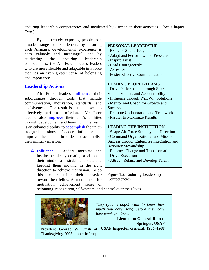<span id="page-16-0"></span>enduring leadership competencies and inculcated by Airmen in their activities. (See Chapter Two.)

By deliberately exposing people to a broader range of experiences, by ensuring each Airman's developmental experience is both valuable and meaningful, and by cultivating the enduring leadership competencies, the Air Force creates leaders who are more flexible and adaptable in a force that has an even greater sense of belonging and importance.

## **Leadership Actions**

Air Force leaders **influence** their subordinates through tools that include communication, motivation, standards, and decisiveness. The result is a unit moved to effectively perform a mission. Air Force leaders also **improve** their unit's abilities through development and learning. The result is an enhanced ability to **accomplish** the unit's assigned missions. Leaders influence and improve their units in order to accomplish their military mission.

**Influence.** Leaders motivate and inspire people by creating a vision in their mind of a desirable end-state and keeping them moving in the right direction to achieve that vision. To do this, leaders tailor their behavior toward their fellow Airmen's need for motivation, achievement, sense of

#### **PERSONAL LEADERSHIP**

- Exercise Sound Judgment
- Adapt and Perform Under Pressure
- Inspire Trust
- Lead Courageously
- Assess Self
- Foster Effective Communication

#### **LEADING PEOPLE/TEAMS**

- Drive Performance through Shared

Vision, Values, and Accountability

- Influence through Win/Win Solutions

- Mentor and Coach for Growth and **Success** 

- Promote Collaboration and Teamwork

- Partner to Maximize Results

#### **LEADING THE INSTITUTION**

- Shape Air Force Strategy and Direction

- Command Organizational and Mission Success through Enterprise Integration and Resource Stewardship

- Embrace Change and Transformation
- Drive Execution

- Attract, Retain, and Develop Talent

Figure 1.2. Enduring Leadership **Competencies** 

belonging, recognition, self-esteem, and control over their lives.



*They (your troops) want to know how much you care, long before they care how much you know.* 

> —**Lieutenant General Robert Springer, USAF**

President George W. Bush at **USAF Inspector General, 1985–1988**  Thanksgiving 2003 dinner in Iraq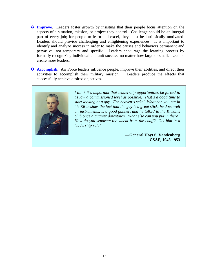- **C** Improve. Leaders foster growth by insisting that their people focus attention on the aspects of a situation, mission, or project they control. Challenge should be an integral part of every job; for people to learn and excel, they must be intrinsically motivated. Leaders should provide challenging and enlightening experiences. It is important to identify and analyze success in order to make the causes and behaviors permanent and pervasive, not temporary and specific. Leaders encourage the learning process by formally recognizing individual and unit success, no matter how large or small. Leaders create more leaders.
- **Accomplish.** Air Force leaders influence people, improve their abilities, and direct their activities to accomplish their military mission. Leaders produce the effects that successfully achieve desired objectives.



*I think it's important that leadership opportunities be forced to as low a commissioned level as possible. That's a good time to start looking at a guy. For heaven's sake! What can you put in his ER besides the fact that the guy is a great stick, he does well on instruments, is a good gunner, and he talked to the Kiwanis club once a quarter downtown. What else can you put in there? How do you separate the wheat from the chaff? Get him in a leadership role!* 

> **—General Hoyt S. Vandenberg CSAF, 1948-1953**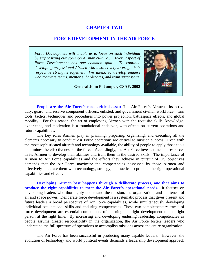#### **CHAPTER TWO**

#### **FORCE DEVELOPMENT IN THE AIR FORCE**

<span id="page-18-0"></span>*Force Development will enable us to focus on each individual by emphasizing our common Airman culture…. Every aspect of Force Development has one common goal: To continue developing professional Airmen who instinctively leverage their respective strengths together. We intend to develop leaders who motivate teams, mentor subordinates, and train successors.* 

**—General John P. Jumper, CSAF, 2002** 



**People are the Air Force's most critical asset:** The Air Force's Airmen—its active duty, guard, and reserve component officers, enlisted, and government civilian workforce—turn tools, tactics, techniques and procedures into power projection, battlespace effects, and global mobility. For this reason, the art of employing Airmen with the requisite skills, knowledge, experience, and motivation is a foundational endeavor, with effects on current operations and future capabilities.

The key roles Airmen play in planning, preparing, organizing, and executing all the elements necessary to conduct Air Force operations are critical to mission success. Even with the most sophisticated aircraft and technology available, the ability of people to apply those tools determines the effectiveness of the force. Accordingly, the Air Force invests time and resources in its Airmen to develop their abilities and train them in the desired skills. The importance of Airmen to Air Force capabilities and the effects they achieve in pursuit of US objectives demands that the Air Force maximize the competencies possessed by those Airmen and effectively integrate them with technology, strategy, and tactics to produce the right operational capabilities and effects.

**Developing Airmen best happens through a deliberate process, one that aims to produce the right capabilities to meet the Air Force's operational needs.** It focuses on developing leaders who thoroughly understand the mission, the organization, and the tenets of air and space power. Deliberate force development is a systematic process that gives present and future leaders a broad perspective of Air Force capabilities, while simultaneously developing individual occupational skills and enduring competencies. These two complementary tracks of force development are essential components of tailoring the right development to the right person at the right time. By increasing and developing enduring leadership competencies as people assume greater responsibility in the organization, the Air Force fosters leaders who understand the full spectrum of operations to accomplish missions across the entire organization.

The Air Force has been successful in producing many capable leaders. However, the evolution of technology and world political events demands a leadership development approach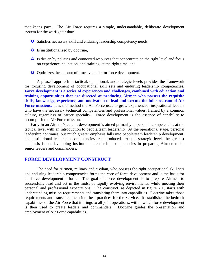<span id="page-19-0"></span>that keeps pace. The Air Force requires a simple, understandable, deliberate development system for the warfighter that:

- Satisfies necessary skill and enduring leadership competency needs,
- **C** Is institutionalized by doctrine,
- Is driven by policies and connected resources that concentrate on the right level and focus on experience, education, and training, at the right time, and
- Optimizes the amount of time available for force development.

A phased approach at tactical, operational, and strategic levels provides the framework for focusing development of occupational skill sets and enduring leadership competencies. **Force development is a series of experiences and challenges, combined with education and training opportunities that are directed at producing Airmen who possess the requisite skills, knowledge, experience, and motivation to lead and execute the full spectrum of Air**  Force missions. It is the method the Air Force uses to grow experienced, inspirational leaders who have the necessary technical competencies and professional values, framed by a common culture, regardless of career specialty. Force development is the essence of capability to accomplish the Air Force mission.

Early in an Airman's career, development is aimed primarily at personal competencies at the tactical level with an introduction to people/team leadership. At the operational stage, personal leadership continues, but much greater emphasis falls into people/team leadership development, and institutional leadership competencies are introduced. At the strategic level, the greatest emphasis is on developing institutional leadership competencies in preparing Airmen to be senior leaders and commanders.

#### **FORCE DEVELOPMENT CONSTRUCT**

The need for Airmen, military and civilian, who possess the right occupational skill sets and enduring leadership competencies forms the core of force development and is the basis for all force development efforts. The goal of force development is to prepare Airmen to successfully lead and act in the midst of rapidly evolving environments, while meeting their personal and professional expectations. The construct, as depicted in figure 2.1, starts with understanding mission requirements and translating them into capabilities. Doctrine takes those requirements and translates them into best practices for the Service. It establishes the bedrock capabilities of the Air Force that it brings to all joint operations, within which force development is then used to create leaders and commanders. Doctrine guides the presentation and employment of Air Force capabilities.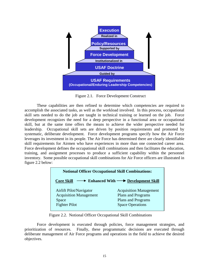

Figure 2.1. Force Development Construct

 These capabilities are then refined to determine which competencies are required to accomplish the associated tasks, as well as the workload involved. In this process, occupational skill sets needed to do the job are taught in technical training or learned on the job. Force development recognizes the need for a deep perspective in a functional area or occupational skill, but at the same time offers the means to achieve the wider perspective needed for leadership. Occupational skill sets are driven by position requirements and promoted by systematic, deliberate development. Force development programs specify how the Air Force leverages its investment in its people. The Air Force has determined there are clearly identifiable skill requirements for Airmen who have experiences in more than one connected career area. Force development defines the occupational skill combinations and then facilitates the education, training, and assignment processes to produce a sufficient capability within the personnel inventory. Some possible occupational skill combinations for Air Force officers are illustrated in figure 2.2 below:

| <b>Notional Officer Occupational Skill Combinations:</b>                                  |                                                                                                                    |  |
|-------------------------------------------------------------------------------------------|--------------------------------------------------------------------------------------------------------------------|--|
| Core Skill → Enhanced With → Development Skill                                            |                                                                                                                    |  |
| Airlift Pilot/Navigator<br><b>Acquisition Management</b><br>Space<br><b>Fighter Pilot</b> | <b>Acquisition Management</b><br><b>Plans and Programs</b><br><b>Plans and Programs</b><br><b>Space Operations</b> |  |

Figure 2.2. Notional Officer Occupational Skill Combinations

Force development is executed through policies, force management strategies, and prioritization of resources. Finally, these programmatic decisions are executed through deliberate management of Air Force programs and operations in the field to achieve the desired objectives.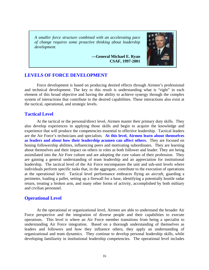<span id="page-21-0"></span>*A smaller force structure combined with an accelerating pace of change requires some proactive thinking about leadership development.* 

> **—General Michael E. Ryan CSAF, 1997-2001**



#### **LEVELS OF FORCE DEVELOPMENT**

 Force development is based on producing desired effects through Airmen's professional and technical development. The key to this result is understanding what is "right" in each element of this broad objective and having the ability to achieve synergy through the complex system of interactions that contribute to the desired capabilities. These interactions also exist at the tactical, operational, and strategic levels.

#### **Tactical Level**

At the tactical or the personal/direct level, Airmen master their primary duty skills. They also develop experiences in applying those skills and begin to acquire the knowledge and experience that will produce the competencies essential to effective leadership. Tactical leaders are the Air Force's technicians and specialists. **At this level, Airmen learn about themselves as leaders and about how their leadership acumen can affect others.** They are focused on honing followership abilities, influencing peers and motivating subordinates. They are learning about themselves and their impact on others in roles as both follower and leader. They are being assimilated into the Air Fore culture and are adopting the core values of their profession. They are gaining a general understanding of team leadership and an appreciation for institutional leadership. The tactical level of the Air Force encompasses the unit and sub-unit levels where individuals perform specific tasks that, in the aggregate, contribute to the execution of operations at the operational level. Tactical level performance embraces flying an aircraft, guarding a perimeter, loading a pallet, setting up a firewall for a base, identifying a potentially hostile radar return, treating a broken arm, and many other forms of activity, accomplished by both military and civilian personnel.

#### **Operational Level**

At the operational or organizational level, Airmen are able to understand the broader Air Force perspective and the integration of diverse people and their capabilities to execute operations. This level is where an Air Force member transitions from being a specialist to understanding Air Force integration. Based on a thorough understanding of themselves as leaders and followers and how they influence others, they apply an understanding of organizational and team dynamics. They continue to develop personal leadership skills, while developing familiarity in institutional leadership competencies. The operational level includes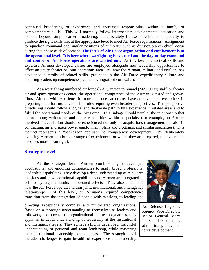<span id="page-22-0"></span>continued broadening of experience and increased responsibility within a family of complementary skills. This will normally follow intermediate developmental education and extends beyond simple career broadening; it deliberately focuses developmental activity to produce the right skills mix at the appropriate level to meet Air Force requirements. Assignment to squadron command and similar positions of authority, such as division/branch chief, occur during this phase of development. **The focus of Air Force organization and employment is at the operational level. It is here where warfighting is executed and the day-to-day command and control of Air Force operations are carried out.** At this level the tactical skills and expertise Airmen developed earlier are employed alongside new leadership opportunities to affect an entire theater or joint operations area. By now the Airman, military and civilian, has developed a family of related skills, grounded in the Air Force expeditionary culture and enduring leadership competencies, guided by ingrained core values.

At a warfighting numbered air force (NAF), major command (MAJCOM) staff, or theater air and space operations center, the operational competence of the Airman is tested and grown. Those Airmen with experience in more than one career area have an advantage over others in preparing them for future leadership roles requiring even broader perspectives. This perspective broadening should follow a logical and deliberate path to link experience in related areas and to fulfill the operational needs of the Air Force. This linkage should parallel the relationship that exists among various air and space capabilities within a specialty (for example, an Airman involved in acquisition should be experienced not only in acquisitions management but also in contracting, air and space power employment, plans and programs, and similar specialties). This method represents a "packaged" approach to competency development. By deliberately exposing Airmen to a broader range of experiences for which they are prepared, the experience becomes more meaningful.

## **Strategic Level**

 At the strategic level, Airmen combine highly developed occupational and enduring competencies to apply broad professional leadership capabilities. They develop a deep understanding of Air Force missions and how operational capabilities and Airmen are integrated to achieve synergistic results and desired effects. They also understand how the Air Force operates within joint, multinational, and interagency relationships. At this level, an Airman's required competencies transition from the integration of people with missions, to leading and

directing exceptionally complex and multi-tiered organizations. Based on a thorough understanding of themselves as leaders and followers, and how to use organizational and team dynamics, they apply an in-depth understanding of leadership at the institutional and interagency levels. They achieve a highly developed, insightful understanding of personal and team leadership, while mastering their institutional leadership competencies. The strategic level includes challenges to gain breadth of experience and leadership



As Defense Logistics Agency Vice Director, Major General Mary L. Saunders operates at the strategic level of force development.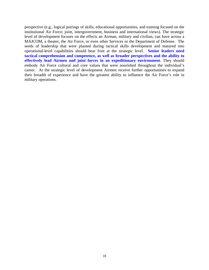perspective (e.g., logical pairings of skills; educational opportunities, and training focused on the institutional Air Force; joint, intergovernment, business and international views). The strategic level of development focuses on the effects an Airman, military and civilian, can have across a MAJCOM, a theater, the Air Force, or even other Services or the Department of Defense. The seeds of leadership that were planted during tactical skills development and matured into operational-level capabilities should bear fruit at the strategic level. **Senior leaders need tactical comprehension and competence, as well as broader perspectives and the ability to effectively lead Airmen and joint forces in an expeditionary environment.** They should embody Air Force cultural and core values that were nourished throughout the individual's career. At the strategic level of development Airmen receive further opportunities to expand their breadth of experience and have the greatest ability to influence the Air Force's role in military operations.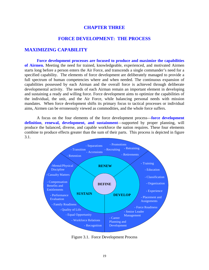#### **CHAPTER THREE**

#### **FORCE DEVELOPMENT: THE PROCESS**

#### <span id="page-24-0"></span>**MAXIMIZING CAPABILITY**

**Force development processes are focused to produce and maximize the capabilities of Airmen.** Meeting the need for trained, knowledgeable, experienced, and motivated Airmen starts long before a person enters the Air Force, and transcends a single commander's need for a specified capability. The elements of force development are deliberately managed to provide a full spectrum of human competencies where and when needed. The continuous expansion of capabilities possessed by each Airman and the overall force is achieved through deliberate developmental activity. The needs of each Airman remain an important element in developing and sustaining a ready and willing force. Force development aims to optimize the capabilities of the individual, the unit, and the Air Force, while balancing personal needs with mission mandates. When force development shifts its primary focus to tactical processes or individual aims, Airmen can be erroneously viewed as commodities, and the whole force suffers.

A focus on the four elements of the force development process—**force development definition**, **renewal, development, and sustainment**—supported by proper planning, will produce the balanced, diverse, and capable workforce the nation requires. These four elements combine to produce effects greater than the sum of their parts. This process is depicted in figure 3.1.



Figure 3.1. Force Development Process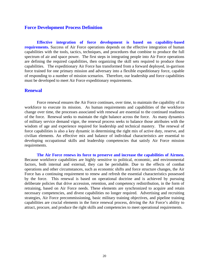#### <span id="page-25-0"></span>**Force Development Process Definition**

**Effective integration of force development is based on capability-based requirements.** Success of Air Force operations depends on the effective integration of human capabilities with the tools, tactics, techniques, and procedures that combine to produce the full spectrum of air and space power. The first steps in integrating people into Air Force operations are defining the required capabilities, then organizing the skill sets required to produce those capabilities. The expeditionary Air Force has transformed from a forward deployed, in-garrison force trained for one primary mission and adversary into a flexible expeditionary force, capable of responding to a number of mission scenarios. Therefore, our leadership and force capabilities must be developed to meet Air Force expeditionary requirements.

#### **Renewal**

Force renewal ensures the Air Force continues, over time, to maintain the capability of its workforce to execute its mission. As human requirements and capabilities of the workforce change over time, the processes associated with renewal are essential to the continued readiness of the force. Renewal seeks to maintain the right balance across the force. As many dynamics of military service demand vigor, the renewal process seeks to balance those attributes with the wisdom of age and experience required for leadership and technical mastery. The renewal of force capabilities is also a key dynamic in determining the right mix of active duty, reserve, and civilian elements. An effective mix and balance of individual characteristics are essential to developing occupational skills and leadership competencies that satisfy Air Force mission requirements.

**The Air Force renews its force to preserve and increase the capabilities of Airmen.** Because workforce capabilities are highly sensitive to political, economic, and environmental factors, both internal and external, they can be perishable. Due to the effects of combat operations and other circumstances, such as economic shifts and force structure changes, the Air Force has a continuing requirement to renew and refresh the essential characteristics possessed by the force. This renewal is based on operational doctrine and is achieved by pursuing deliberate policies that drive accession, retention, and competency redistribution, in the form of retraining, based on Air Force needs. These elements are synchronized to acquire and retain necessary competencies, and divest capabilities no longer required. Advertising and recruiting strategies, Air Force precommissioning, basic military training objectives, and pipeline training capabilities are crucial elements in the force renewal process, driving the Air Force's ability to attract, procure, and produce the right skills and competencies to meet operational requirements.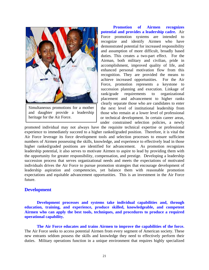<span id="page-26-0"></span>

Simultaneous promotions for a mother and daughter provide a leadership heritage for the Air Force.

**Promotion of Airmen recognizes potential and provides a leadership cadre.** Air Force promotion systems are intended to recognize and identify Airmen who have demonstrated potential for increased responsibility and assumption of more difficult, broadly based duties. This creates a two-part effect. For the Airman, both military and civilian, pride in accomplishment, improved quality of life, and enhanced personal motivation flow from this recognition. They are provided the means to achieve increased opportunities. For the Air Force, promotion represents a keystone to succession planning and execution. Linkage of rank/grade requirements to organizational placement and advancement to higher ranks clearly separate those who are candidates to enter the next level of institutional leadership from those who remain at a lower level of professional or technical development. In certain career areas, under constrained selection policies, a newly

promoted individual may not always have the requisite technical expertise or professional experience to immediately succeed to a higher ranked/graded position. Therefore, it is vital the Air Force leverage its force development tools and selection processes to ensure sufficient numbers of Airmen possessing the skills, knowledge, and experience to effectively lead in those higher ranked/graded positions are identified for advancement. As promotion recognizes leadership potential, it also serves to motivate Airmen to aspire to lead by providing them with the opportunity for greater responsibility, compensation, and prestige. Developing a leadership succession process that serves organizational needs and meets the expectations of motivated individuals drives the Air Force to pursue promotion strategies that encourage development of leadership aspiration and competencies, yet balance them with reasonable promotion expectations and equitable advancement opportunities. This is an investment in the Air Force future.

#### **Development**

**Development processes and systems take individual capabilities and, through education, training, and experience, produce skilled, knowledgeable, and competent Airmen who can apply the best tools, techniques, and procedures to produce a required operational capability.** 

**The Air Force educates and trains Airmen to improve the capabilities of the force.**  The Air Force seeks to access potential Airmen from every segment of American society. These new entrants seldom possess the skills and knowledge they need to effectively perform their duties. Military operations function in a unique environment that requires highly specialized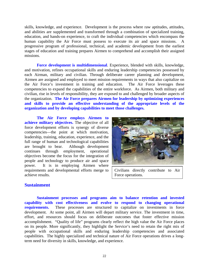<span id="page-27-0"></span>skills, knowledge, and experience. Development is the process where raw aptitudes, attitudes, and abilities are supplemented and transformed through a combination of specialized training, education, and hands-on experience, to craft the individual competencies which encompass the human capability the Air Force must possess to execute its air and space missions. A progressive program of professional, technical, and academic development from the earliest stages of education and training prepares Airmen to comprehend and accomplish their assigned missions.

**Force development is multidimensional**. Experience, blended with skills, knowledge, and motivation, refines occupational skills and enduring leadership competencies possessed by each Airman, military and civilian. Through deliberate career planning and development, Airmen are assigned and employed to meet mission requirements in ways that also capitalize on the Air Force's investment in training and education. The Air Force leverages these competencies to expand the capabilities of the entire workforce. As Airmen, both military and civilian, rise in levels of responsibility, they are exposed to and challenged by broader aspects of the organization. **The Air Force prepares Airmen for leadership by optimizing experiences and skills to provide an effective understanding of the appropriate levels of the organization and by developing capabilities to meet those challenges.** 

**The Air Force employs Airmen to achieve military objectives.** The objective of all force development efforts is synergy of diverse competencies—the point at which motivation, leadership, training, education, experience, and the full range of human and technological capabilities are brought to bear. Although development continues through employment, operational objectives become the focus for the integration of people and technology to produce air and space power. It is in employing Airmen where requirements and developmental efforts merge to achieve results.



Civilians directly contribute to Air Force operations.

#### **Sustainment**

**Sustainment processes and programs aim to balance retention and invested capability with cost effectiveness and evolve to respond to changing operational requirements.** These processes are structured to capitalize on investments in force development. At some point, all Airmen will depart military service. The investment in time, effort, and resources should focus on deliberate outcomes that foster effective mission accomplishment. "Quality of life" programs clearly reflect the high value the Air Force places on its people. More significantly, they highlight the Service's need to retain the right mix of people with occupational skills and enduring leadership competencies and associated capabilities. The highly specialized and technical nature of Air Force operations drives a longterm need for diversity in skills, knowledge, and experience.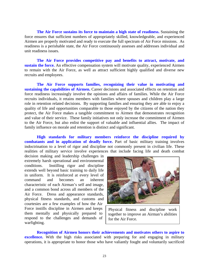**The Air Force sustains its force to maintain a high state of readiness.** Sustaining the force ensures that sufficient numbers of appropriately skilled, knowledgeable, and experienced Airmen are properly motivated and ready to execute the full spectrum of Air Force missions. As readiness is a perishable state, the Air Force continuously assesses and addresses individual and unit readiness issues.

**The Air Force provides competitive pay and benefits to attract, motivate, and sustain the force.** An effective compensation system will motivate quality, experienced Airmen to remain with the Air Force, as well as attract sufficient highly qualified and diverse new recruits and employees.

**The Air Force supports families, recognizing their value in motivating and**  sustaining the capabilities of Airmen. Career decisions and associated effects on retention and force readiness increasingly involve the opinions and affairs of families. While the Air Force recruits individuals, it retains members with families where spouses and children play a large role in retention related decisions. By supporting families and ensuring they are able to enjoy a quality of life and opportunities comparable to those enjoyed by the citizens of the nation they protect, the Air Force makes a tangible commitment to Airmen that demonstrates recognition and value of their service. These family initiatives not only increase the commitment of Airmen to the Air Force, but also enlist the support of valuable and influential allies. The impact of family influence on morale and retention is distinct and significant.

**High standards for military members reinforce the discipline required by combatants and in application of deadly force.** Part of basic military training involves indoctrination to a level of rigor and discipline not commonly present in civilian life. These realities of military service involve experiences that include facing life and death combat

decision making and leadership challenges in extremely harsh operational and environmental conditions. Instilling rigor and discipline extends well beyond basic training to daily life in uniform. It is reinforced at every level of command and becomes an inherent characteristic of each Airman's self and image, and a common bond across all members of the Air Force. Dress and appearance standards, physical fitness standards, and customs and courtesies are a few examples of how the Air Force instills discipline in Airmen and keeps them mentally and physically prepared to respond to the challenges and demands of warfighting.



Physical fitness and discipline work together to improve an Airman's abilities for the Air Force.

**Recognition of Airmen honors their achievements and motivates others to aspire to excellence.** With the high risks associated with preparing for and engaging in military operations, it is appropriate to honor those who have valiantly fought and voluntarily sacrificed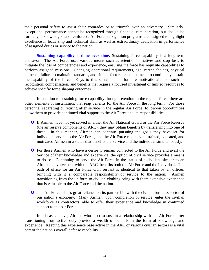their personal safety to assist their comrades or to triumph over an adversary. Similarly, exceptional performance cannot be recognized through financial remuneration, but should be formally acknowledged and reinforced. Air Force recognition programs are designed to highlight excellence in leadership and technical skill, as well as extraordinary dedication in performance of assigned duties or service to the nation.

**Sustaining capability is done over time.** Sustaining force capability is a long-term endeavor. The Air Force uses various means such as retention initiatives and stop loss, to mitigate the loss of competencies and experience, ensuring the force has requisite capabilities to perform assigned missions. Changing operational requirements, age, career choices, physical ailments, failure to maintain standards, and similar factors create the need to continually sustain the capability of the force. Keys to this sustainment effort are motivational tools such as recognition, compensation, and benefits that require a focused investment of limited resources to achieve specific force shaping outcomes.

In addition to sustaining force capability through retention in the regular force, there are other elements of sustainment that reap benefits for the Air Force in the long term. For those personnel separating or retiring after service in the regular Air Force, follow-on opportunities allow them to provide continued vital support to the Air Force and its responsibilities:

- If Airmen have not yet served in either the Air National Guard or the Air Force Reserve (the air reserve components or ARC), they may obtain benefits by transferring into one of these. In this manner, Airmen can continue pursuing the goals they have set for individual service to the Air Force, and the Air Force retains vital trained, educated, and motivated Airmen in a status that benefits the Service and the individual simultaneously.
- For those Airmen who have a desire to remain connected to the Air Force and avail the Service of their knowledge and experience, the option of civil service provides a means to do so. Continuing to serve the Air Force in the status of a civilian, similar to an Airman's involvement with the ARC, benefits both the Air Force and the individual. The oath of office for an Air Force civil servant is identical to that taken by an officer, bringing with it a comparable responsibility of service to the nation. Airmen transitioning from the uniform to civilian clothing bring with them extensive experience that is valuable to the Air Force and the nation.
- The Air Force places great reliance on its partnership with the civilian business sector of our nation's economy. Many Airmen, upon completion of service, enter the civilian workforce as contractors, able to offer their experience and knowledge in continued support to the Air Force.

In all cases above, Airmen who elect to sustain a relationship with the Air Force after transitioning from active duty provide a wealth of benefits in the form of knowledge and experience. Keeping this experience base active in the ARC or various civilian sectors is a vital part of the nation's overall defense capability.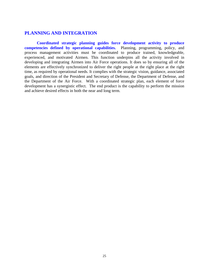#### <span id="page-30-0"></span>**PLANNING AND INTEGRATION**

**Coordinated strategic planning guides force development activity to produce competencies defined by operational capabilities.** Planning, programming, policy, and process management activities must be coordinated to produce trained, knowledgeable, experienced, and motivated Airmen. This function underpins all the activity involved in developing and integrating Airmen into Air Force operations. It does so by ensuring all of the elements are effectively synchronized to deliver the right people at the right place at the right time, as required by operational needs. It complies with the strategic vision, guidance, associated goals, and direction of the President and Secretary of Defense, the Department of Defense, and the Department of the Air Force. With a coordinated strategic plan, each element of force development has a synergistic effect. The end product is the capability to perform the mission and achieve desired effects in both the near and long term.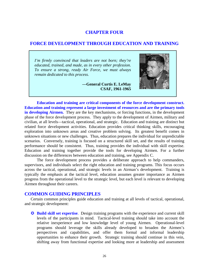#### **CHAPTER FOUR**

#### <span id="page-31-0"></span>**FORCE DEVELOPMENT THROUGH EDUCATION AND TRAINING**

*I'm firmly convinced that leaders are not born; they're educated, trained, and made, as in every other profession. To ensure a strong, ready Air Force, we must always remain dedicated to this process.* 

> **—General Curtis E. LeMay CSAF, 1961-1965**



**Education and training are critical components of the force development construct. Education and training represent a large investment of resources and are the primary tools in developing Airmen.** They are the key mechanisms, or forcing functions, in the development phase of the force development process. They apply to the development of Airmen, military and civilian, at all levels—tactical, operational, and strategic. Education and training are distinct but related force development activities. Education provides critical thinking skills, encouraging exploration into unknown areas and creative problem solving. Its greatest benefit comes in unknown situations or new challenges. Thus, education prepares the individual for unpredictable scenarios. Conversely, training is focused on a structured skill set, and the results of training performance should be consistent. Thus, training provides the individual with skill expertise. Education and training together provide the tools for developing Airmen. For a further discussion on the differences between education and training, see Appendix C.

The force development process provides a deliberate approach to help commanders, supervisors, and individuals select the right education and training programs. This focus occurs across the tactical, operational, and strategic levels in an Airman's development. Training is typically the emphasis at the tactical level, education assumes greater importance as Airmen progress from the operational level to the strategic level, but each level is relevant to developing Airmen throughout their careers.

#### **COMMON GUIDING PRINCIPLES**

Certain common principles guide education and training at all levels of tactical, operational, and strategic development:

**Build skill set expertise.** Design training programs with the experience and current skill levels of the participants in mind. Tactical-level training should take into account the relative inexperience and low knowledge level of young Airmen. Operational-level programs should leverage the skills already developed to broaden the Airmen's perspectives and capabilities, and offer them formal and informal leadership opportunities to enhance their growth. Strategic training should continue in this vein, shifting away from functional expertise and looking more at leadership and assessment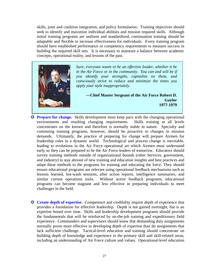skills, joint and coalition integration, and policy formulation. Training objectives should seek to identify and maximize individual abilities and mission required skills. Although initial training programs are uniform and standardized, continuation training should be adaptable and flexible to increase effectiveness for individuals. Every training program should have established performance or competency requirements to measure success in building the required skill sets. It is necessary to maintain a balance between academic concepts, operational reality, and lessons of the past.



*Sure, everyone wants to be an effective leader, whether it be in the Air Force or in the community. You can and will be if you identify your strengths, capitalize on them, and consciously strive to reduce and minimize the times you apply your style inappropriately.* 

**—Chief Master Sergeant of the Air Force Robert D. Gaylor 1977-1979** 

- **Prepare for change.** Skills development must keep pace with the changing operational environments and resulting changing requirements. Skills training at all levels concentrates on the known and therefore is normally stable in nature. Specialty and continuing training programs, however, should be proactive to changes in mission demands. Ultimately, the practice of preparing for change will prepare Airmen for leadership roles in a dynamic world. Technological and process change is inevitable, leading to evolutions in the Air Force operational art which Airmen must understand early so they can be prepared to be the Air Force leaders of tomorrow. Educators should survey training methods outside of organizational bounds (other Services, government, and industry) to stay abreast of new training and education insights and best practices and adapt these methods to the programs for training and educating the force. They should ensure educational programs are relevant using operational feedback mechanisms such as lessons learned, hot-wash sessions, after action reports, intelligence summaries, and similar current operations tools. Without active feedback programs, educational programs can become stagnant and less effective in preparing individuals to meet challenges in the field.
- **Create depth of expertise.** Competence and credibility require depth of experience that provides a foundation for effective leadership. Depth is not gained overnight, but is an expertise honed over time. Skills and leadership development programs should provide the fundamentals that will be reinforced by on-the-job training and expeditionary field experience. Commanders and supervisors should know that demanding duty assignments normally prove more effective in developing depth of expertise than do assignments that lack sufficient challenge. Tactical-level education and training should concentrate on building depth of knowledge and experience in the primary skill and skill-related areas, including an understanding of Air Force culture and values. Operational-level education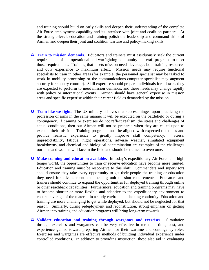and training should build on early skills and deepen their understanding of the complete Air Force employment capability and its interface with joint and coalition partners. At the strategic-level, education and training polish the leadership and command skills of Airmen and deepen their joint and coalition warfare and policy-making skills.

- **C** Train to mission demands. Educators and trainers must assiduously seek the current requirements of the operational and warfighting community and craft programs to meet those requirements. Training that meets mission needs leverages both training resources and duty experience to maximum effect. Mission needs may require functional specialists to train in other areas (for example, the personnel specialist may be tasked to work in mobility processing or the communications-computer specialist may augment security force entry control;). Skill expertise should prepare individuals for all tasks they are expected to perform to meet mission demands, and these needs may change rapidly with policy or international events. Airmen should have general expertise in mission areas and specific expertise within their career field as demanded by the mission.
- **Train like we fight.** The US military believes that success hinges upon practicing the profession of arms in the same manner it will be executed on the battlefield or during a contingency. If training or exercises do not reflect realism, the stress and challenges of actual conditions, then our Airmen will not be prepared when they are called upon to execute their mission. Training programs must be aligned with expected outcomes and provide realistic experience to greatly improve skill competency. Stress, unpredictability, fatigue, night operations, adverse weather, simulated equipment breakdowns, and chemical and biological contamination are examples of the challenges our men and women will face in the field and should be trained to overcome.
- **Make training and education available.** In today's expeditionary Air Force and high tempo world, the opportunities to train or receive education have become more limited. Education and training must be responsive to this shift. Commanders and supervisors should ensure they take every opportunity to get their people the training or education they need for advancement and meeting unit mission requirements. Educators and trainers should continue to expand the opportunities for deployed training through online or other reachback capabilities. Furthermore, education and training programs may have to become shorter or more flexible and adaptive to the expeditionary environment to ensure coverage of the material in a study environment lacking continuity. Education and training are more challenging to get while deployed, but should not be neglected for that reason. Similarly, during redeployment and reconstitution, strong emphasis on getting Airmen into training and education programs will bring long-term rewards.
- **Validate education and training through wargames and exercises.** Simulation through exercises and wargames can be very effective in terms of time, cost, and experience gained toward preparing Airmen for their wartime and contingency roles. Exercises and wargames are effective methods of building individual experience under controlled conditions. In addition to providing instruction, these also aid in evaluating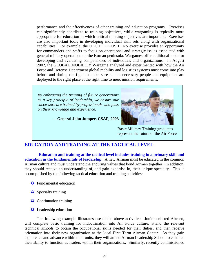<span id="page-34-0"></span>performance and the effectiveness of other training and education programs. Exercises can significantly contribute to training objectives, while wargaming is typically more appropriate for education in which critical thinking objectives are important. Exercises are also important tools in developing individual skill sets along with organizational capabilities. For example, the ULCHI FOCUS LENS exercise provides an opportunity for commanders and staffs to focus on operational and strategic issues associated with general military operations on the Korean peninsula. Wargames offer additional tools for developing and evaluating competencies of individuals and organizations. In August 2002, the GLOBAL MOBILITY Wargame analyzed and experimented with how the Air Force and Defense Department global mobility and logistics systems must come into play before and during the fight to make sure all the necessary people and equipment are deployed to the right place at the right time to meet mission requirements.

*By embracing the training of future generations as a key principle of leadership, we ensure our successors are trained by professionals who pass on their knowledge and experience.* 

**—General John Jumper, CSAF, 2003** 



Basic Military Training graduates represent the future of the Air Force

## **EDUCATION AND TRAINING AT THE TACTICAL LEVEL**

 **Education and training at the tactical level includes training in a primary skill and education in the fundamentals of leadership.** A new Airman must be educated in the common Airman culture and must understand the enduring values that bond Airmen together. In addition, they should receive an understanding of, and gain expertise in, their unique specialty. This is accomplished by the following tactical education and training activities:

- **C** Fundamental education
- Specialty training
- **C** Continuation training
- **C** Leadership education

The following example illustrates use of the above activities: Junior enlisted Airmen, will complete basic training for indoctrination into Air Force culture, attend the relevant technical schools to obtain the occupational skills needed for their duties, and then receive orientation into their new organization at the local First Term Airman Center. As they gain experience and advance within their units, they will attend Airman Leadership School to enhance their ability to function as leaders within their organizations. Similarly, recently commissioned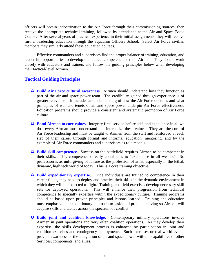<span id="page-35-0"></span>officers will obtain indoctrination to the Air Force through their commissioning sources, then receive the appropriate technical training, followed by attendance at the Air and Space Basic Course. After several years of practical experience in their initial assignments, they will receive further leadership education through the Squadron Officers School. Select Air Force civilian members may similarly attend these education courses.

Effective commanders and supervisors find the proper balance of training, education, and leadership opportunities to develop the tactical competence of their Airmen. They should work closely with educators and trainers and follow the guiding principles below when developing their tactical-level Airmen.

## **Tactical Guiding Principles**

- **Build Air Force cultural awareness.** Airmen should understand how they function as part of the air and space power team. The credibility gained through experience is of greater relevance if it includes an understanding of how the Air Force operates and what principles of war and tenets of air and space power underpin Air Force effectiveness. Education programs should provide a consistent and systematic promotion of Air Force culture.
- **Bond Airmen to core values.** Integrity first, service before self, and excellence in all we do—every Airman must understand and internalize these values. They are the core of Air Force leadership and must be taught to Airmen from the start and reinforced at each step of their career through formal and informal education, mentoring, and by the example of Air Force commanders and supervisors as role models.
- **Build skill competence.** Success on the battlefield requires Airmen to be competent in their skills. This competence directly contributes to "excellence in all we do." No profession is as unforgiving of failure as the profession of arms, especially in the lethal, dynamic, high tech world of today. This is a core training objective.
- **Build expeditionary expertise.** Once individuals are trained to competence in their career fields, they need to deploy and practice their skills in the dynamic environment in which they will be expected to fight. Training and field exercises develop necessary skill sets for deployed operations. This will enhance their progression from technical competence to specialty expertise within the expeditionary culture. Training programs should be based upon proven principles and lessons learned. Training and education must emphasize an expeditionary approach to tasks and problem solving so Airmen will acquire skills and tactics across the spectrum of conflict.
- **Build joint and coalition knowledge.** Contemporary military operations involve Airmen in joint operations and very often coalition operations. As they develop their expertise, the skills development process is enhanced by participation in joint and coalition exercises and contingency deployments. Such exercises or real-world events provide awareness of the integration of air and space power with the capabilities of other Services, components, and allies.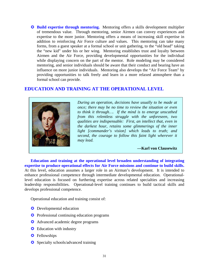**Build expertise through mentoring.** Mentoring offers a skills development multiplier of tremendous value. Through mentoring, senior Airmen can convey experiences and expertise to the more junior. Mentoring offers a means of increasing skill expertise in addition to reinforcing Air Force culture and values. This mentoring can take many forms, from a guest speaker at a formal school or unit gathering, to the "old head" taking the "new kid" under his or her wing. Mentoring establishes trust and loyalty between Airmen and the Air Force, providing developmental opportunities for the individual while displaying concern on the part of the mentor. Role modeling may be considered mentoring, and senior individuals should be aware that their conduct and bearing have an influence on more junior individuals. Mentoring also develops the "Air Force Team" by providing opportunities to talk freely and learn in a more relaxed atmosphere than a formal school can provide.

## **EDUCATION AND TRAINING AT THE OPERATIONAL LEVEL**



*During an operation, decisions have usually to be made at once; there may be no time to review the situation or even to think it through…. If the mind is to emerge unscathed from this relentless struggle with the unforeseen, two qualities are indispensable: First, an intellect that, even in the darkest hour, retains some glimmerings of the inner light [commander's vision] which leads to truth; and second, the courage to follow this faint light wherever it may lead.* 

**—Karl von Clausewitz**

**Education and training at the operational level broaden understanding of integrating expertise to produce operational effects for Air Force missions and continue to build skills.**  At this level, education assumes a larger role in an Airman's development. It is intended to enhance professional competence through intermediate developmental education. Operationallevel education is focused on furthering expertise across related specialties and increasing leadership responsibilities. Operational-level training continues to build tactical skills and develops professional competence.

Operational education and training consist of:

- **C** Developmental education
- **C** Professional continuing education programs
- Advanced academic degree programs
- **C** Education with industry
- **G** Fellowships
- Specialty schools/advanced training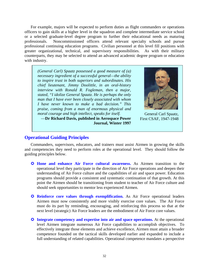For example, majors will be expected to perform duties as flight commanders or operations officers to gain skills at a higher level in the squadron and complete intermediate service school or a selected graduate-level degree program to further their educational needs as maturing professionals. Noncommissioned officers attend relevant specialty schools and pursue professional continuing education programs. Civilian personnel at this level fill positions with greater organizational, technical, and supervisory responsibilities. As with their military counterparts, they may be selected to attend an advanced academic degree program or education with industry.

*(General Carl) Spaatz possessed a good measure of (a) necessary ingredient of a successful general—the ability to inspire trust in both superiors and subordinates. His chief lieutenant, Jimmy Doolittle, in an oral-history interview with Ronald R. Fogleman, then a major, stated, "I idolize General Spaatz. He is perhaps the only man that I have ever been closely associated with whom I have never known to make a bad decision." This praise, coming from a man of enormous physical and moral courage and high intellect, speaks for itself.* 

—**Dr Richard Davis, published in Aerospace Power Journal, Winter 1997** 



General Carl Spaatz, First CSAF, 1947-1948

# **Operational Guiding Principles**

Commanders, supervisors, educators, and trainers must assist Airmen in growing the skills and competencies they need to perform roles at the operational level. They should follow the guiding principles below.

- **Hone and enhance Air Force cultural awareness.** As Airmen transition to the operational level they participate in the direction of Air Force operations and deepen their understanding of Air Force culture and the capabilities of air and space power. Education programs should provide a consistent and systematic continuation of that growth. At this point the Airmen should be transitioning from student to teacher of Air Force culture and should seek opportunities to mentor less experienced Airmen.
- **C** Reinforce core values through exemplification. As Air Force operational leaders Airmen must now consistently and more visibly exercise core values. The Air Force must do its part by reminding, encouraging, and reinforcing this process so that at the next level (strategic) Air Force leaders are the embodiment of Air Force core values.
- **Integrate competency and expertise into air and space operations.** At the operational level Airmen integrate numerous Air Force capabilities to accomplish objectives. To effectively integrate those elements and achieve excellence, Airmen must attain a broader competence founded on the tactical skills developed earlier and expanded to include a full understanding of related capabilities. Operational competence mandates a perspective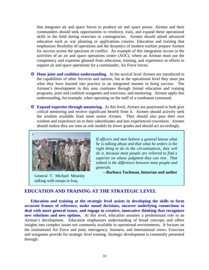that integrates air and space forces to produce air and space power. Airmen and their commanders should seek opportunities to reinforce, train, and expand these operational skills in the field during exercises or contingencies. Airmen should attend advanced education such as war planning or applications courses. Education and training that emphasizes flexibility of operations and the dynamics of modern warfare prepare Airmen for success across the spectrum of conflict. An example of this integration occurs in the activities of an air and space operations center (AOC), where an Airman must use the competency and expertise gleaned from education, training, and experience in efforts to support air and space operations for a commander, Air Force forces.

- **Hone joint and coalition understanding.** At the tactical level Airmen are introduced to the capabilities of other Services and nations, but at the operational level they must put what they have learned into practice in an integrated manner to bring success. The Airman's development in this area continues through formal education and training programs, joint and coalition wargames and exercises, and mentoring. Airmen apply this understanding, for example, when operating on the staff of a combatant command.
- **Expand expertise through mentoring.** At this level, Airmen are positioned to both give critical mentoring and receive significant benefit from it. Airmen should actively seek the wisdom available from more senior Airmen. They should also pass their own wisdom and experience on to their subordinates and less experienced coworkers. Airmen should realize they are seen as role models by lower grades and should act accordingly.



General T. Michael Moseley talking with troops in Iraq

*If officers and men believe a general knows what he is talking about and that what he orders is the right thing to do in the circumstances, they will do it, because most people are relieved to find a superior on whose judgment they can rest. That indeed is the difference between most people and generals.* 

—**Barbara Tuchman, historian and author** 

## **EDUCATION AND TRAINING AT THE STRATEGIC LEVEL**

**Education and training at the strategic level assists in developing the skills to form accurate frames of reference, make sound decisions, uncover underlying connections to deal with more general issues, and engage in creative, innovative thinking that recognizes new solutions and new options.** At this level, education assumes a predominant role in an Airman's development. Education emphasizes understanding of broad concepts and offers insights into complex issues not commonly available in operational environments. It focuses on the institutional Air Force and joint, interagency, business, and international views. Exercises and wargames provide for strategic level training. Strategic development is commonly presented through: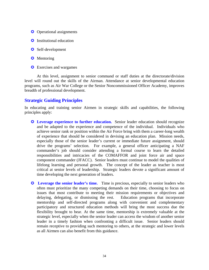- **O** Operational assignments
- **C** Institutional education
- Self-development
- **Mentoring**
- **C** Exercises and wargames

 At this level, assignment to senior command or staff duties at the directorate/division level will round out the skills of the Airman. Attendance at senior developmental education programs, such as Air War College or the Senior Noncommissioned Officer Academy, improves breadth of professional development.

## **Strategic Guiding Principles**

In educating and training senior Airmen in strategic skills and capabilities, the following principles apply:

- **Leverage experience to further education.** Senior leader education should recognize and be adapted to the experience and competence of the individual. Individuals who achieve senior rank or position within the Air Force bring with them a career-long wealth of experience that should be considered in devising an education plan. Mission needs, especially those of the senior leader's current or immediate future assignment, should drive the programs' selection. For example, a general officer anticipating a NAF commander's job should consider attending a formal course to learn the detailed responsibilities and intricacies of the COMAFFOR and joint force air and space component commander (JFACC). Senior leaders must continue to model the qualities of lifelong learning and personal growth. The concept of the leader as teacher is most critical at senior levels of leadership. Strategic leaders devote a significant amount of time developing the next generation of leaders.
- **Leverage the senior leader's time.** Time is precious, especially to senior leaders who often must prioritize the many competing demands on their time, choosing to focus on issues that most contribute to meeting their mission requirements or objectives and delaying, delegating, or dismissing the rest. Education programs that incorporate mentorship and self-directed programs along with convenient and complementary participatory and structured education methods will bring the most success due the flexibility brought to bear. At the same time, mentorship is extremely valuable at the strategic level, especially when the senior leader can access the wisdom of another senior leader in a timely fashion when confronting a difficult issue. Senior leaders should remain receptive to providing such mentoring to others, at the strategic and lower levels as all Airmen can also benefit from this guidance.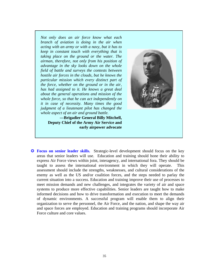

 **Focus on senior leader skills.** Strategic-level development should focus on the key areas that senior leaders will use. Education and training should hone their ability to express Air Force views within joint, interagency, and international fora. They should be taught to assess the international environment in which they will operate. This assessment should include the strengths, weaknesses, and cultural considerations of the enemy as well as the US and/or coalition forces, and the steps needed to parlay the current situation into a success. Education and training improve their use of processes to meet mission demands and new challenges, and integrates the variety of air and space systems to produce more effective capabilities. Senior leaders are taught how to make informed decisions and how to drive transformation and execution to meet the demands of dynamic environments. A successful program will enable them to align their organization to serve the personnel, the Air Force, and the nation, and shape the way air and space forces are employed. Education and training programs should incorporate Air Force culture and core values.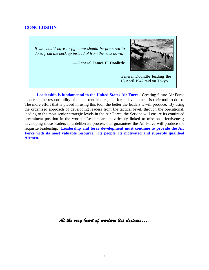# **CONCLUSION**

*If we should have to fight, we should be prepared to do so from the neck up instead of from the neck down.* 

—**General James H. Doolittle** 



General Doolittle leading the 18 April 1942 raid on Tokyo.

**Leadership is fundamental to the United States Air Force.** Creating future Air Force leaders is the responsibility of the current leaders, and force development is their tool to do so. The more effort that is placed in using this tool, the better the leaders it will produce. By using the organized approach of developing leaders from the tactical level, through the operational, leading to the most senior strategic levels in the Air Force, the Service will ensure its continued preeminent position in the world. Leaders are inextricably linked to mission effectiveness; developing those leaders in a deliberate process that guarantees the Air Force will produce the requisite leadership. **Leadership and force development must continue to provide the Air**  Force with its most valuable resource: its people, its motivated and superbly qualified **Airmen.** 

*At the very heart of warfare lies doctrine….*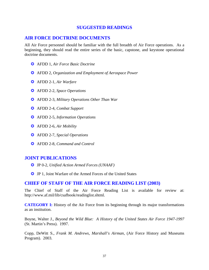## **SUGGESTED READINGS**

## **AIR FORCE DOCTRINE DOCUMENTS**

All Air Force personnel should be familiar with the full breadth of Air Force operations. As a beginning, they should read the entire series of the basic, capstone, and keystone operational doctrine documents.

- AFDD 1, *Air Force Basic Doctrine*
- AFDD 2, *Organization and Employment of Aerospace Power*
- AFDD 2-1, *Air Warfare*
- AFDD 2-2, *Space Operations*
- AFDD 2-3, *Military Operations Other Than War*
- AFDD 2-4, *Combat Support*
- AFDD 2-5, *Information Operations*
- AFDD 2-6, *Air Mobility*
- AFDD 2-7, *Special Operations*
- AFDD 2-8, *Command and Control*

## **JOINT PUBLICATIONS**

- JP 0-2, *Unified Action Armed Forces (UNAAF)*
- JP 1, Joint Warfare of the Armed Forces of the United States

### **CHIEF OF STAFF OF THE AIR FORCE READING LIST (2003)**

The Chief of Staff of the Air Force Reading List is available for review at: http://www.af.mil/lib/csafbook/readinglist.shtml.

**CATEGORY I:** History of the Air Force from its beginning through its major transformations as an institution.

Boyne, Walter J., *Beyond the Wild Blue: A History of the United States Air Force 1947-1997* (St. Martin's Press). 1997.

Copp, DeWitt S., *Frank M. Andrews, Marshall's Airman*, (Air Force History and Museums Program). 2003.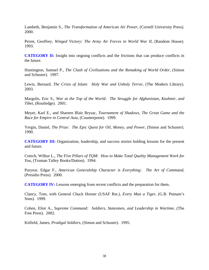Lambeth, Benjamin S., *The Transformation of American Air Power*, (Cornell University Press). 2000.

Perret, Geoffrey, *Winged Victory: The Army Air Forces in World War II*, (Random House). 1993.

**CATEGORY II:** Insight into ongoing conflicts and the frictions that can produce conflicts in the future.

Huntington, Samuel P., *The Clash of Civilizations and the Remaking of World Order*, (Simon and Schuster). 1997.

Lewis, Bernard, *The Crisis of Islam: Holy War and Unholy Terror*, (The Modern Library). 2003.

Margolis, Eric S., *War at the Top of the World: The Struggle for Afghanistan, Kashmir, and Tibet*, (Routledge). 2001.

Meyer, Karl E., and Shareen Blair Brysac, *Tournament of Shadows, The Great Game and the Race for Empire in Central Asia*, (Counterpoint). 1999.

Yergin, Daniel, *The Prize: The Epic Quest for Oil, Money, and Power*, (Simon and Schuster). 1990.

**CATEGORY III:** Organization, leadership, and success stories holding lessons for the present and future.

Creech, Wilbur L., *The Five Pillars of TQM: How to Make Total Quality Management Work for You*, (Truman Talley Books/Dutton). 1994.

Puryear, Edgar F., *American Generalship Character is Everything: The Art of Command*, (Presidio Press). 2000.

**CATEGORY IV:** Lessons emerging from recent conflicts and the preparation for them.

Clancy, Tom, with General Chuck Horner (USAF Ret.), *Every Man a Tiger*, (G.B. Putnam's Sons). 1999.

Cohen, Eliot A., *Supreme Command: Soldiers, Statesmen, and Leadership in Wartime*, (The Free Press). 2002.

Kitfield, James, *Prodigal Soldiers*, (Simon and Schuster). 1995.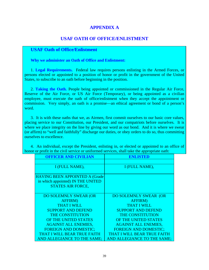# **APPENDIX A**

## **USAF OATH OF OFFICE/ENLISTMENT**

## **USAF Oath of Office/Enlistment**

**Why we administer an Oath of Office and Enlistment:** 

1. **Legal Requirements.** Federal law requires persons enlisting in the Armed Forces, or persons elected or appointed to a position of honor or profit in the government of the United States, to subscribe to an oath before beginning in the position.

2. **Taking the Oath.** People being appointed or commissioned in the Regular Air Force, Reserve of the Air Force, or US Air Force (Temporary), or being appointed as a civilian employee, must execute the oath of office/enlistment when they accept the appointment or commission. Very simply, an oath is a promise—an ethical agreement or bond of a person's word.

3. It is with these oaths that we, as Airmen, first commit ourselves to our basic core values, placing service to our Constitution, our President, and our compatriots before ourselves. It is where we place integrity on the line by giving our word as our bond. And it is where we swear (or affirm) to "well and faithfully" discharge our duties, or obey orders to do so, thus committing ourselves to excellence.

4. An individual, except the President, enlisting in, or elected or appointed to an office of honor or profit in the civil service or uniformed services, shall take the appropriate oath:

| <b>OFFICER AND CIVILIAN</b>           | <b>ENLISTED</b>                    |
|---------------------------------------|------------------------------------|
|                                       |                                    |
| I (FULL NAME),                        | I (FULL NAME),                     |
|                                       |                                    |
| <b>HAVING BEEN APPOINTED A (Grade</b> |                                    |
| in which appointed) IN THE UNITED     |                                    |
| <b>STATES AIR FORCE,</b>              |                                    |
|                                       |                                    |
| DO SOLEMNLY SWEAR (OR                 | DO SOLEMNLY SWEAR (OR              |
| <b>AFFIRM</b> )                       | <b>AFFIRM</b> )                    |
| <b>THAT I WILL</b>                    | <b>THAT I WILL</b>                 |
| <b>SUPPORT AND DEFEND</b>             | <b>SUPPORT AND DEFEND</b>          |
| <b>THE CONSTITUTION</b>               | <b>THE CONSTITUTION</b>            |
| OF THE UNITED STATES                  | OF THE UNITED STATES               |
| <b>AGAINST ALL ENEMIES,</b>           | <b>AGAINST ALL ENEMIES,</b>        |
| <b>FOREIGN AND DOMESTIC;</b>          | <b>FOREIGN AND DOMESTIC;</b>       |
| <b>THAT I WILL BEAR TRUE FAITH</b>    | <b>THAT I WILL BEAR TRUE FAITH</b> |
| AND ALLEGIANCE TO THE SAME;           | AND ALLEGIANCE TO THE SAME;        |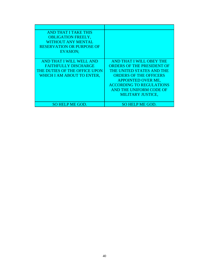| AND THAT I TAKE THIS             |                                   |
|----------------------------------|-----------------------------------|
| <b>OBLIGATION FREELY,</b>        |                                   |
| <b>WITHOUT ANY MENTAL</b>        |                                   |
| <b>RESERVATION OR PURPOSE OF</b> |                                   |
| <b>EVASION:</b>                  |                                   |
|                                  |                                   |
| AND THAT I WILL WELL AND         | AND THAT I WILL OBEY THE          |
| <b>FAITHFULLY DISCHARGE</b>      | <b>ORDERS OF THE PRESIDENT OF</b> |
| THE DUTIES OF THE OFFICE UPON    | THE UNITED STATES AND THE         |
| WHICH I AM ABOUT TO ENTER,       | <b>ORDERS OF THE OFFICERS</b>     |
|                                  | APPOINTED OVER ME,                |
|                                  | <b>ACCORDING TO REGULATIONS</b>   |
|                                  | AND THE UNIFORM CODE OF           |
|                                  | MILITARY JUSTICE,                 |
|                                  |                                   |
| SO HELP ME GOD.                  | SO HELP ME GOD.                   |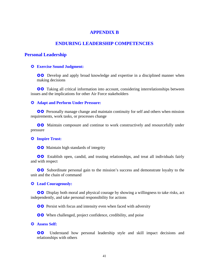## **APPENDIX B**

## **ENDURING LEADERSHIP COMPETENCIES**

## **Personal Leadership**

### **Exercise Sound Judgment:**

**• OC** Develop and apply broad knowledge and expertise in a disciplined manner when making decisions

**OO** Taking all critical information into account, considering interrelationships between issues and the implications for other Air Force stakeholders

### **Adapt and Perform Under Pressure:**

**• Personally manage change and maintain continuity for self and others when mission** requirements, work tasks, or processes change

**OO** Maintain composure and continue to work constructively and resourcefully under pressure

### **Inspire Trust:**

**OO** Maintain high standards of integrity

 Establish open, candid, and trusting relationships, and treat all individuals fairly and with respect

 Subordinate personal gain to the mission's success and demonstrate loyalty to the unit and the chain of command

### **Lead Courageously:**

**OO** Display both moral and physical courage by showing a willingness to take risks, act independently, and take personal responsibility for actions

**OO** Persist with focus and intensity even when faced with adversity

**OO** When challenged, project confidence, credibility, and poise

### **Assess Self:**

**33** Understand how personal leadership style and skill impact decisions and relationships with others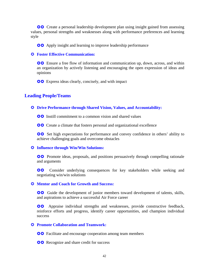**• Create a personal leadership development plan using insight gained from assessing** values, personal strengths and weaknesses along with performance preferences and learning style

Apply insight and learning to improve leadership performance

#### **Foster Effective Communication:**

 Ensure a free flow of information and communication up, down, across, and within an organization by actively listening and encouraging the open expression of ideas and opinions

**CO** Express ideas clearly, concisely, and with impact

## **Leading People/Teams**

### **Drive Performance through Shared Vision, Values, and Accountability:**

**OO** Instill commitment to a common vision and shared values

**Create a climate that fosters personal and organizational excellence** 

**Set high expectations for performance and convey confidence in others' ability to** achieve challenging goals and overcome obstacles

#### **Influence through Win/Win Solutions:**

**OO** Promote ideas, proposals, and positions persuasively through compelling rationale and arguments

**Consider underlying consequences for key stakeholders while seeking and** negotiating win/win solutions

#### **Mentor and Coach for Growth and Success:**

**GC** Guide the development of junior members toward development of talents, skills, and aspirations to achieve a successful Air Force career

 Appraise individual strengths and weaknesses, provide constructive feedback, reinforce efforts and progress, identify career opportunities, and champion individual success

#### **Promote Collaboration and Teamwork:**

**OO** Facilitate and encourage cooperation among team members

**QQ** Recognize and share credit for success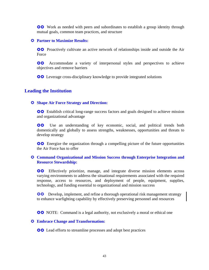Work as needed with peers and subordinates to establish a group identity through mutual goals, common team practices, and structure

### **Partner to Maximize Results:**

**OO** Proactively cultivate an active network of relationships inside and outside the Air Force

 Accommodate a variety of interpersonal styles and perspectives to achieve objectives and remove barriers

**OO** Leverage cross-disciplinary knowledge to provide integrated solutions

## **Leading the Institution**

### **Shape Air Force Strategy and Direction:**

 Establish critical long-range success factors and goals designed to achieve mission and organizational advantage

 Use an understanding of key economic, social, and political trends both domestically and globally to assess strengths, weaknesses, opportunities and threats to develop strategy

 Energize the organization through a compelling picture of the future opportunities the Air Force has to offer

## **Command Organizational and Mission Success through Enterprise Integration and Resource Stewardship:**

 Effectively prioritize, manage, and integrate diverse mission elements across varying environments to address the situational requirements associated with the required response, access to resources, and deployment of people, equipment, supplies, technology, and funding essential to organizational and mission success

 Develop, implement, and refine a thorough operational risk management strategy to enhance warfighting capability by effectively preserving personnel and resources

NOTE: Command is a legal authority, not exclusively a moral or ethical one

### **Embrace Change and Transformation:**

**OO** Lead efforts to streamline processes and adopt best practices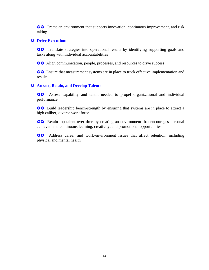**Create an environment that supports innovation, continuous improvement, and risk** taking

## **Drive Execution:**

 Translate strategies into operational results by identifying supporting goals and tasks along with individual accountabilities

Align communication, people, processes, and resources to drive success

 Ensure that measurement systems are in place to track effective implementation and results

## **Attract, Retain, and Develop Talent:**

 Assess capability and talent needed to propel organizational and individual performance

**Build leadership bench-strength by ensuring that systems are in place to attract a** high caliber, diverse work force

**80** Retain top talent over time by creating an environment that encourages personal achievement, continuous learning, creativity, and promotional opportunities

 Address career and work-environment issues that affect retention, including physical and mental health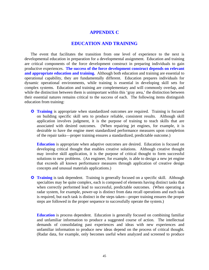## **APPENDIX C**

### **EDUCATION AND TRAINING**

The event that facilitates the transition from one level of experience to the next is developmental education in preparation for a developmental assignment. Education and training are critical components of the force development construct in preparing individuals to gain productive experiences. **The success of the force development construct depends on relevant and appropriate education and training.** Although both education and training are essential to operational capability, they are fundamentally different. Education prepares individuals for dynamic operational environments, while training is essential in developing skill sets for complex systems. Education and training are complementary and will commonly overlap, and while the distinction between them is unimportant within this 'gray area,' the distinction between their essential natures remains critical to the success of each. The following items distinguish education from training:

**Training** is appropriate when standardized outcomes are required. Training is focused on building specific skill sets to produce reliable, consistent results. Although skill application involves judgment, it is the purpose of training to teach skills that are associated with desired outcomes. (When repairing jet engines, for example, it is desirable to have the engine meet standardized performance measures upon completion of the repair tasks—proper training ensures a standardized, predictable outcome.)

**Education** is appropriate when adaptive outcomes are desired. Education is focused on developing critical thought that enables creative solutions. Although creative thought may involve skill application, it is the purpose of critical thought to form successful solutions to new problems. (An engineer, for example, is able to design a new jet engine that exceeds all known performance measures through application of creative design concepts and unusual materials applications.)

**Training** is task dependent. Training is generally focused on a specific skill. Although specialties may be quite complex, each is composed of elements having distinct tasks that when correctly performed lead to successful, predictable outcomes. (When operating a radar system, for example, power-up is distinct from data recall operations and each task is required, but each task is distinct in the steps taken—proper training ensures the proper steps are followed in the proper sequence to successfully operate the system.)

**Education** is process dependent. Education is generally focused on combining familiar and unfamiliar information to produce a suggested course of action. The intellectual demands of consolidating past experiences and ideas with new experiences and unfamiliar information to produce new ideas depend on the process of critical thought. (Radar data, for example, only becomes useful when analyzed and screened to produce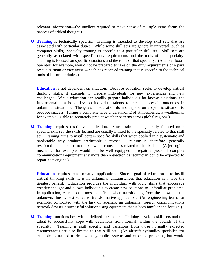relevant information—the intellect required to make sense of multiple items forms the process of critical thought.)

**Training** is technically specific. Training is intended to develop skill sets that are associated with particular duties. While some skill sets are generally universal (such as computer skills), specialty training is specific to a particular skill set. Skill sets are generally associated with specific duty requirements and the tools of that specialty. Training is focused on specific situations and the tools of that specialty. (A tanker boom operator, for example, would not be prepared to take on the duty requirements of a para rescue Airman or vice versa -- each has received training that is specific to the technical tools of his or her duties.)

**Education** is not dependent on situation. Because education seeks to develop critical thinking skills, it attempts to prepare individuals for new experiences and new challenges. While education can readily prepare individuals for known situations, the fundamental aim is to develop individual talents to create successful outcomes in unfamiliar situations. The goals of education do not depend on a specific situation to produce success. (Using a comprehensive understanding of atmospherics, a weatherman for example, is able to accurately predict weather patterns across global regions.)

**C** Training requires restrictive application. Since training is generally focused on a specific skill set, the skills learned are usually limited to the specialty related to that skill set. Training aims to instill certain specific skills that when applied in a systematic and predictable way produce predictable outcomes. Training is, therefore, generally restricted in application to the known circumstances related to the skill set. (A jet engine mechanic, for example, would not be well equipped to repair a piece of complex communications equipment any more than a electronics technician could be expected to repair a jet engine.)

**Education** requires transformative application. Since a goal of education is to instill critical thinking skills, it is in unfamiliar circumstances that education can have the greatest benefit. Education provides the individual with logic skills that encourage creative thought and allows individuals to create new solutions to unfamiliar problems. In application, education is most beneficial when transitioning from the known to the unknown, thus is best suited to transformative application. (An engineering team, for example, confronted with the task of repairing an unfamiliar foreign communications network devises a successful solution using equipment that is both familiar and foreign.)

**C Training** functions best within defined parameters. Training develops skill sets and the talent to successfully cope with deviations from normal, within the bounds of the specialty. Training is skill specific and variations from those normally expected circumstances are also limited to that skill set. (An aircraft hydraulics specialist, for example, is trained to deal with hydraulic systems and expected problems, but would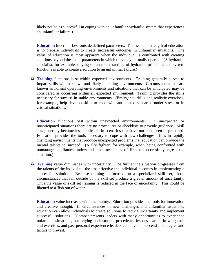likely not be as successful in coping with an unfamiliar hydraulic system that experiences an unfamiliar failure.)

**Education** functions best outside defined parameters. The essential strength of education is to prepare individuals to create successful outcomes in unfamiliar situations. The value of education is most apparent when the individual is confronted with creating solutions beyond the set of parameters in which they may normally operate. (A hydraulic specialist, for example, relying on an understanding of hydraulic principles and system functions is able to create a solution to an unfamiliar failure.)

**Training** functions best within expected environments. Training generally serves to impart skills within known and likely operating environments. Circumstances that are known as normal operating environments and situations that can be anticipated may be considered as occurring within an expected environment. Training provides the skills necessary for success in stable environments. (Emergency drills and realistic exercises, for example, help develop skills to cope with anticipated scenarios under stress or in critical situations.)

**Education** functions best within unexpected environments. In unexpected or unanticipated situations there are no procedures or checklists to provide guidance. Skill sets generally become less applicable in scenarios that have not been seen or practiced. Education provides the tools necessary to cope with new challenges. It is in rapidly changing environments that produce unexpected problems that education can provide the mental talents to succeed. (A fire fighter, for example, when being confronted with unmanageable flames understands the mechanics of fires to successfully egress the situation.)

**Training** value diminishes with uncertainty. The further the situation progresses from the talents of the individual, the less effective the individual becomes in implementing a successful solution. Because training is focused on a specialized skill set, those circumstances that fall outside of the skill set produce a greater amount of uncertainty. Thus the value of skill set training is reduced in the face of uncertainty. This could be likened to a 'fish out of water.'

**Education** value increases with uncertainty. Education provides the tools for innovation and creative thought. In circumstances of new challenges and unfamiliar situations, education can allow individuals to create solutions to reduce uncertainty and implement successful solutions. (Combat presents leaders with many opportunities to experience unfamiliar situations, but relying on historical precedents, lessons learned in wargames and exercises, and past personal experience leaders can develop successful strategies and tactics to prevail.)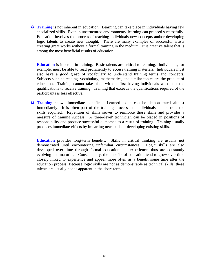**Training** is not inherent in education. Learning can take place in individuals having few specialized skills. Even in unstructured environments, learning can proceed successfully. Education involves the process of teaching individuals new concepts and/or developing logic talents to create new thought. There are many examples of successful artists creating great works without a formal training in the medium. It is creative talent that is among the most beneficial results of education.

**Education** is inherent in training. Basic talents are critical to learning. Individuals, for example, must be able to read proficiently to access training materials. Individuals must also have a good grasp of vocabulary to understand training terms and concepts. Subjects such as reading, vocabulary, mathematics, and similar topics are the product of education. Training cannot take place without first having individuals who meet the qualifications to receive training. Training that exceeds the qualifications required of the participants is less effective.

 **Training** shows immediate benefits. Learned skills can be demonstrated almost immediately. It is often part of the training process that individuals demonstrate the skills acquired. Repetition of skills serves to reinforce those skills and provides a measure of training success. A 'three-level' technician can be placed in positions of responsibility and produce successful outcomes as a result of training. Training usually produces immediate effects by imparting new skills or developing existing skills.

**Education** provides long-term benefits. Skills in critical thinking are usually not demonstrated until encountering unfamiliar circumstances. Logic skills are also developed over time through formal education and experience, thus are constantly evolving and maturing. Consequently, the benefits of education tend to grow over time closely linked to experience and appear more often as a benefit some time after the education process. Because logic skills are not as demonstrable as technical skills, these talents are usually not as apparent in the short-term.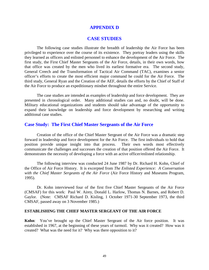## **APPENDIX D**

### **CASE STUDIES**

The following case studies illustrate the breadth of leadership the Air Force has been privileged to experience over the course of its existence. They portray leaders using the skills they learned as officers and enlisted personnel to enhance the development of the Air Force. The first study, the First Chief Master Sergeants of the Air Force, details, in their own words, how that office was created by the men who lived its earliest formative era. The second study, General Creech and the Transformation of Tactical Air Command (TAC), examines a senior officer's efforts to create the most efficient major command he could for the Air Force. The third study, General Ryan and the Creation of the AEF, details the efforts by the Chief of Staff of the Air Force to produce an expeditionary mindset throughout the entire Service.

The case studies are intended as examples of leadership and force development. They are presented in chronological order. Many additional studies can and, no doubt, will be done. Military educational organizations and students should take advantage of the opportunity to expand their knowledge on leadership and force development by researching and writing additional case studies.

### **Case Study: The First Chief Master Sergeants of the Air Force**

Creation of the office of the Chief Master Sergeant of the Air Force was a dramatic step forward in leadership and force development for the Air Force. The first individuals to hold that position provide unique insight into that process. Their own words most effectively communicate the challenges and successes the creation of that position offered the Air Force. It demonstrates the necessity of developing a force with an active officer/enlisted relationship.

The following interview was conducted 24 June 1987 by Dr. Richard H. Kohn, Chief of the Office of Air Force History. It is excerpted from *The Enlisted Experience: A Conversation*  with the Chief Master Sergeants of the Air Force (Air Force History and Museums Program, 1995).

Dr. Kohn interviewed four of the first five Chief Master Sergeants of the Air Force (CMSAF) for this work: Paul W. Airey, Donald L. Harlow, Thomas N. Barnes, and Robert D. Gaylor. (Note: CMSAF Richard D. Kisling, 1 October 1971-30 September 1973, the third CMSAF, passed away on 3 November 1985.)

#### **ESTABLISHING THE CHIEF MASTER SERGEANT OF THE AIR FORCE**

**Kohn**: You've brought up the Chief Master Sergeant of the Air force position. It was established in 1967, at the beginning of these years of turmoil. Why was it created? How was it created? What was the need for it? Why was there opposition to it?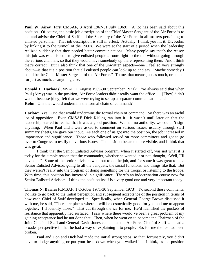**Paul W. Airey** (First CMSAF, 3 April 1967-31 July 1969): A lot has been said about this position. Of course, the basic job description of the Chief Master Sergeant of the Air Force is to aid and advise the Chief of Staff and the Secretary of the Air Force in all matters pertaining to enlisted personnel. That job description is still in effect. Actually, I think you hit it, Dr. Kohn, by linking it to the turmoil of the 1960s. We were at the start of a period when the leadership realized suddenly that they needed better communications. Many people say that's the reason this job was established: to give enlisted people a route right to the top without going through the various channels, so that they would have somebody up there representing them. And I think that's correct. But I also think that one of the unwritten aspects—one I feel so very strongly about—is that it's a position that all enlisted people can look up to and say, "Maybe someday I could be the Chief Master Sergeant of the Air Force." To me, that means just as much, or counts for just as much, as anything else.

**Donald L. Harlow** (CMSAF, 1 August 1969-30 September 1971): I've always said that when Paul (Airey) was in the position, Air Force leaders didn't really want the office…. [They] didn't want it because [they] felt that we were trying to set up a separate communication chain. **Kohn**: One that would undermine the formal chain of command?

**Harlow**: Yes. One that would undermine the formal chain of command. So there was an awful lot of opposition. Even CMSAF Dick Kisling ran into it. It wasn't until later on that the leadership started to realize that it was a good position. We had no authority; we couldn't sign anything. When Paul and I were asked to comment on various issues, usually through staff summary sheets, we gave our input. As each one of us got into the position, the job increased in importance and significance. Those who followed served on more committees and got to go over to Congress to testify on various issues. The position became more visible, and I think that was great.

 I think that the Senior Enlisted Advisor program, when it started off, was not what it is today for the simple reason that the commander, whether he wanted it or not, thought, "Well, I'll have one." Some of the senior advisors went out to do the job, and for some it was great to be a Senior Enlisted Advisor, going to all the banquets, the social functions, and things like that. But they weren't really into the program of doing something for the troops, or listening to the troops. With time, this position has increased in significance. There's an indoctrination course now for Senior Enlisted Advisors. I think the position itself is a very good one and very important today.

**Thomas N. Barnes** (CMSAF, 1 October 1971-30 September 1973): I'd second those comments. I'd like to go back to the initial perception and subsequent acceptance of the position in terms of how each Chief of Staff developed it. Specifically, when General George Brown discussed it with me, he said, "There are places where it will be cosmetically good for you and me to appear together. I'll identify those." That cut through the ice for me. He'd identified the pockets of resistance that apparently had surfaced. I saw where there would've been a great problem of my gaining acceptance had he not done that. Then, when he went on to become the Chairman of the Joint Chiefs of Staff and General David Jones came in as the Air Force Chief of Staff…he had a broader perspective in that he had a way of explaining it to people. So, for me the ice had been broken.

 Paul and Don and Dick had made the initial strong steps, so that, fortunately, you didn't have to dodge anything or put your head down when you walked in. I think, as the position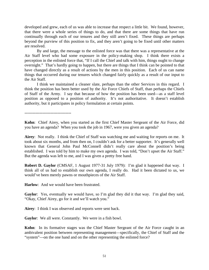developed and grew, each of us was able to increase that respect a little bit. We found, however, that there were a whole series of things to do, and that there are some things that have run continually through each of our tenures and they still aren't fixed. These things are perhaps beyond the purview of this position to fix, and they aren't going to be fixed until other matters are resolved.

 By and large, the message to the enlisted force was that there was a representative at the Air Staff level who had some exposure in the policy-making shop. I think there exists a perception in the enlisted force that, "If I call the Chief and talk with him, things ought to change overnight." That's hardly going to happen, but there are things that I think can be pointed to that have changed directly as a result of actions by the men in this position. Each of us can name things that occurred during our tenures which changed fairly quickly as a result of our input to the Air Staff.

 I think we maintained a cleaner slate, perhaps than the other Services in this regard. I think the position has been better used by the Air Force Chiefs of Staff, than perhaps the Chiefs of Staff of the Army. I say that because of how the position has been used—as a staff level position as opposed to a position of authority. It's not authoritative. It doesn't establish authority, but it participates in policy formulation at certain points.

**----------------------------------** 

**Kohn**: Chief Airey, when you started as the first Chief Master Sergeant of the Air Force, did you have an agenda? When you took the job in 1967, were you given an agenda?

**Airey**: Not really. I think the Chief of Staff was watching me and waiting for reports on me. It took about six months, and from then on, I couldn't ask for a better supporter. It's generally well known that General John Paul McConnell didn't really care about the position's being established. I was told by him to make my own agenda. I was told, "Don't upset the Air Staff." But the agenda was left to me, and I was given a pretty free hand.

**Robert D. Gaylor** (CMSAF, 1 August 1977-31 July 1979): I'm glad it happened that way. I think all of us had to establish our own agenda, I really do. Had it been dictated to us, we would've been merely pawns or mouthpieces of the Air Staff.

**Harlow**: And we would have been frustrated.

**Gaylor**: Yes, eventually we would have, so I'm glad they did it that way. I'm glad they said, "Okay, Chief Airey, go for it and we'll watch you."

**Airey**: I think I was observed and reports were sent back.

**Gaylor**: We all were. Constantly. We were in a fish bowl.

**Kohn**: In its formative stages was the Chief Master Sergeant of the Air Force caught in an ambivalent position between representing management—specifically, the Chief of Staff and the "system"—on the one hand and on the other representing the enlisted force?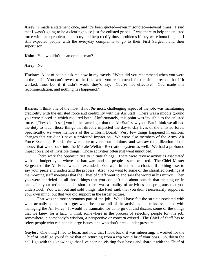Airey: I made a statement once, and it's been quoted—even misquoted—several times. I said that I wasn't going to be a clearinghouse just for enlisted gripes. I was there to help the enlisted force with their problems and to try and help rectify those problems if they were bona fide, but I still expected people with the everyday complaints to go to their First Sergeant and their supervisor.

**Kohn**: You wouldn't be an ombudsman?

**Airey**: No.

**Harlow**: A lot of people ask me now in my travels, "What did you recommend when you were in the job?" You can't reveal to the field what you recommend, for the simple reason that if it worked, fine, but if it didn't work, they'd say, "You're not effective. You made this recommendation, and nothing has happened."

**----------------------------------** 

**Barnes**: I think one of the most, if not *the* most, challenging aspect of the job, was maintaining credibility with the enlisted force and credibility with the Air Staff. There was a middle ground you were placed in which required both. Unfortunately, this point was invisible to the enlisted force. [They didn't see] you in the same light that the Air Staff saw you. But I think we all had the duty to touch those things that directly impacted the day-to-day lives of the enlisted force. Specifically, we were members of the Uniform Board. Very few things happened in uniform changes that we didn't have a profound impact on. We were also members of the Army Air Force Exchange Board. We were able to voice our opinions; and we saw the utilization of the money that went back into the Morale-Welfare-Recreation system as well. We had a profound impact on a lot of invisible things. Those activities often just went unnoticed.

 There were the opportunities to initiate things. There were review activities associated with the budget cycle where the hardware and the people issues occurred. The Chief Master Sergeant of the Air Force was not excluded. You went in and had a chance, if nothing else, to say your piece and understand the process. Also, you went to some of the classified briefings at the morning staff meetings that the Chief of Staff went to and saw the world in his mirror. Then you were debriefed on all those things that you couldn't talk about outside that meeting or, in fact, after your retirement. In short, there was a totality of activities and programs that you understood. You went out and sold things, like Paul said, that you didn't necessarily support in your own mind, but that you did support in the larger picture.

 That was the most strenuous part of the job. We all have felt the strain associated with what actually happens to a guy when he knows all of the activities and risks associated with managing the Air Force. It would be traumatic for us to go out and discuss some of the things that we knew for a fact. I think somewhere in the process of selecting people for this job, somewhere in somebody's wisdom, a perspective or concern existed. The Chief of Staff has to select people who can handle large issues, and who don't break under pressure.

**Gaylor**: One thing I had to learn, and now that I look back, it was interesting. I worked for the Chief of Staff, so you'd think that on returning from a trip you'd brief your boss. So, down the hall I go with this knowledge that I've accrued visiting four bases and share it with the Chief of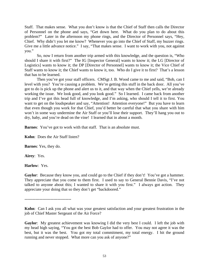Staff. That makes sense. What you don't know is that the Chief of Staff then calls the Director of Personnel on the phone and says, "Get down here. What do you plan to do about this problem?" Later in the afternoon my phone rings, and the Director of Personnel says, "Hey, Chief. Why didn't you let me know? Whenever you go into the Chief of Staff, my buzzer rings. Give me a little advance notice." I say, "That makes sense. I want to work with you, not against you."

 So, now I return from another trip armed with this knowledge, and the question is, "Who should I share it with first?" The IG [Inspector General] wants to know it; the LG [Director of Logistics] wants to know it; the DP [Director of Personnel] wants to know it; the Vice Chief of Staff wants to know it; the Chief wants to know it, too. Who do I give it to first? That's a lesson that has to be learned.

 Then you've got your staff officers. CMSgt J. B. Wood came to me and said, "Bob, can I level with you? You're causing a problem. We're getting this stuff in the back door. All you've got to do is pick up the phone and alert us to it, and that way when the Chief yells, we're already working the issue. We look good, and you look good." So I learned. I came back from another trip and I've got this head full of knowledge, and I'm asking, who should I tell it to first. You want to get on the loudspeaker and say, "Attention! Attention everyone!" But you have to learn that even though you work for that Chief, you'd better be careful that what you share with him won't in some way undermine the Air Staff or you'll lose their support. They'll hang you out to dry, baby, and you're dead on the vine! I learned that in about a month.

**Barnes**: You've got to work with that staff. That is an absolute must.

**Kohn**: Does the Air Staff listen?

**Barnes**: Yes, they do.

**Airey**: Yes.

**Harlow**: Yes.

**Gaylor**: Because they know you, and could go to the Chief if they don't! You've got a hammer. They appreciate that you come to them first. I used to say to General Bennie Davis, "I've not talked to anyone about this; I wanted to share it with you first." I always got action. They appreciate your doing that so they don't get "backdoored."

**----------------------------------** 

**Kohn**: Can I ask you all what was your greatest satisfaction and your greatest frustration in the job of Chief Master Sergeant of the Air Force?

**Gaylor**: My greatest achievement was knowing I did the very best I could. I left the job with my head high saying, "You got the best Bob Gaylor had to offer. You may not agree it was the best, but it was the best. You got my total commitment, my total energy. I hit the ground running and never stopped. What more can you ask of anyone?"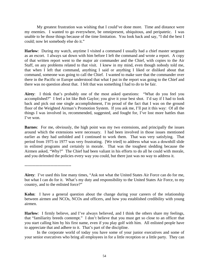My greatest frustration was wishing that I could've done more. Time and distance were my enemies. I wanted to go everywhere, be omnipresent, ubiquitous, and peripatetic. I was unable to be those things because of the time limitation. You look back and say, "I did the best I could; now let somebody else do it."

**Harlow**: During my watch, anytime I visited a command I usually had a chief master sergeant as an escort. I always sat down with him before I left the command and wrote a report. A copy of that written report went to the major air commander and the Chief, with copies to the Air Staff, on any problems related to that visit. I knew in my mind, even though nobody told me, that when I left that command, anything I said or anything I liked or disliked about that command, someone was going to call the Chief. I wanted to make sure that the commander over there in the Pacific or Europe understood that what I put in the report was going to the Chief and there was no question about that. I felt that was something I had to do to be fair.

**Airey**: I think that's probably one of the most asked questions: "What do you feel you accomplished?" I feel a lot like Bob Gaylor; you give it your best shot. I'd say if I had to look back and pick out one single accomplishment, I'm proud of the fact that I was on the ground floor of the Weighted Airman's Promotion System. If you ask me, I'll put it this way: Of all the things I was involved in, recommended, suggested, and fought for, I've lost more battles than I've won.

**Barnes**: For me, obviously, the high point was my two extensions, and principally the issues around which the extensions were necessary. I had been involved in those issues mentioned earlier as they had unfolded and I continued to work them. That was very satisfying. That period from 1975 to 1977 was very frustrating. [We tried] to address what was a downhill slide in enlisted programs and certainly in morale. That was the toughest sledding because the Airmen asked, "Why?" The Chief had been valiant in his efforts to do all he could with morale, and you defended the policies every way you could, but there just was no way to address it.

**----------------------------------** 

**Airey**: I've used this line many times, "Ask not what the United States Air Force can do for me, but what I can do for it. What's my duty and responsibility to the United States Air Force, to my country, and to the enlisted force?"

**Kohn**: I have a general question about the change during your careers of the relationship between airmen and NCOs, NCOs and officers, and how you established credibility with young airmen.

**Harlow**: I firmly believe, and I've always believed, and I think the others share my feelings, that "familiarity breeds contempt." I don't believe that you must get so close to an officer that you start calling him by his first name, even if you play golf with him. All enlisted people have to appreciate that and adhere to it. That's part of the discipline.

 In the corporate world of today you have some of your junior executives and some of your senior executives who bring all employees in for a little reception or a little party. They can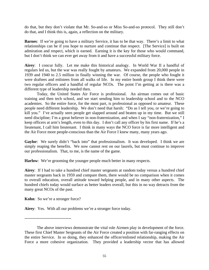do that, but they don't violate that Mr. So-and-so or Miss So-and-so protocol. They still don't do that, and I think this is, again, a reflection on the military.

**Barnes**: If we're going to have a military Service, it has to be that way. There's a limit to what relationships can be if you hope to nurture and continue that respect. [The Service] is built on admiration and respect, which is earned. Earning it is the key for those who would command, but I don't think we can ever get away from it and have a successful military force.

**Airey**: I concur fully. Let me make this historical analogy. In World War II a handful of regulars led us, but the war was really fought by amateurs. We expanded from 20,000 people in 1939 and 1940 to 2.5 million in finally winning the war. Of course, the people who fought it were draftees and enlistees from all walks of life. In my entire bomb group I think there were two regular officers and a handful of regular NCOs. The point I'm getting at is there was a different type of leadership needed then.

 Today, the United States Air Force is professional. An airman comes out of basic training and then tech school, and we start sending him to leadership school and to the NCO academies. So the entire force, for the most part, is professional as opposed to amateur. These people need different leadership. We don't need that harsh: "Do as I tell you, or we're going to kill you." I've actually seen people get slapped around and beaten up in my time. But we still need discipline; I'm a great believer in non-fraternization, and when I say "non-fraternization," I keep officers at arm's length, even to this day. I don't call any officer by his first name. If he's a lieutenant, I call him lieutenant. I think in many ways the NCO force is far more intelligent and the Air Force more people-conscious than the Air Force I knew many, many years ago.

Gaylor: We surely didn't "back into" that professionalism. It was developed. I think we are simply reaping the benefits. We now cannot rest on our laurels, but must continue to improve our professionalism. That, to me, is the name of the game.

**Harlow:** We're grooming the younger people much better in many respects.

**Airey**: If I had to take a hundred chief master sergeants at random today versus a hundred chief master sergeants back in 1959 and compare them, there would be no comparison when it comes to overall education, overall attitude toward helping people, and in many other aspects. The hundred chiefs today would surface as better leaders overall, but this in no way detracts from the many great NCOs of the past.

**Kohn**: So we're a stronger force?

**Airey**: Yes. With all our problems we're a stronger force today.

**----------------------------------** 

The above interviews demonstrate the vital role Airmen play in development of the force. These first Chief Master Sergeants of the Air Force created a position with far-ranging effects on the entire Service. In so doing, they enhanced the officer/enlisted relationship, making the Air Force a more cohesive organization. They provided a leadership vector that has allowed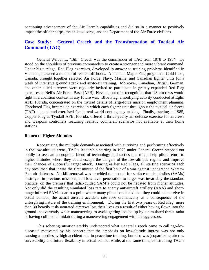continuing advancement of the Air Force's capabilities and did so in a manner to positively impact the officer corps, the enlisted corps, and the Department of the Air Force civilians.

## **Case Study: General Creech and the Transformation of Tactical Air Command (TAC)**

General Wilbur L. "Bill" Creech was the commander of TAC from 1978 to 1984. He stood on the shoulders of previous commanders to create a stronger and more vibrant command. Under his tutelage, Red Flag exercises, developed in answer to training problems identified in Vietnam, spawned a number of related offshoots. A biennial Maple Flag program at Cold Lake, Canada, brought together selected Air Force, Navy, Marine, and Canadian fighter units for a week of intensive ground attack and air-to-air training. Moreover, Canadian, British, German, and other allied aircrews were regularly invited to participate in greatly-expanded Red Flag exercises at Nellis Air Force Base (AFB), Nevada, out of a recognition that US aircrews would fight in a coalition context in any future war. Blue Flag, a nonflying activity conducted at Eglin AFB, Florida, concentrated on the myriad details of large-force mission employment planning. Checkered Flag became an exercise in which each fighter unit throughout the tactical air forces (TAF) planned and exercised for its real-world contingency tasking. Finally, starting in 1985, Copper Flag at Tyndall AFB, Florida, offered a thrice-yearly air defense exercise for aircrews and weapons controllers featuring realistic counterair scenarios not available at their home stations.

#### **Return to Higher Altitudes**

Recognizing the multiple demands associated with surviving and performing effectively in the low-altitude arena, TAC's leadership starting in 1978 under General Creech stepped out boldly to seek an appropriate blend of technology and tactics that might help pilots return to higher altitudes where they could escape the dangers of the low-altitude regime and improve their chances of successful target attack. During earlier Red Flags, all starting scenarios each day presumed that it was the first minute of the first hour of a war against undegraded Warsaw Pact air defenses. No kill removal was provided to account for surface-to-air missiles (SAMs) destroyed in previous missions, and low-level penetration to target was invariably the standard practice, on the premise that radar-guided SAM's could not be negated from higher altitudes. Not only did the resulting simulated loss rate to enemy antiaircraft artillery (AAA) and shortrange infrared SAMs soar to a point where many pilots concluded that they could not survive in actual combat, the actual aircraft accident rate rose dramatically as a consequence of the unforgiving nature of the training environment. During the first two years of Red Flag, more than 30 heavily task-saturated aircrews lost their lives as a result of either having flown into the ground inadvertently while maneuvering to avoid getting locked up by a simulated threat radar or having collided in midair during a maneuvering engagement with the aggressors.

This sobering situation starkly underscored what General Creech came to call "go-low disease," motivated by his concern that the emphasis on low-altitude ingress was not only causing a needlessly high accident rate in peacetime training, but also was jeopardizing aircrew survivability and future flexibility in actual combat while, at the same time, constraining TAC's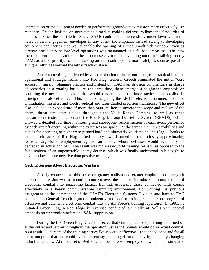appreciation of the equipment needed to perform the ground-attack mission more effectively. In response, Creech insisted on new tactics aimed at making defense rollback the first order of business. Since the most lethal Soviet SAMs could not be successfully underflown within the heart of their engagement envelopes in any event, the emphasis instead swung to developing equipment and tactics that would enable the opening of a medium-altitude window, even as aircrew proficiency at low-level operations was maintained as a fallback measure. The new focus concentrated on sanitizing the air defense environment by taking out or neutralizing enemy SAMs as a first priority, so that attacking aircraft could operate more safely as soon as possible at higher altitudes beyond the lethal reach of AAA.

At the same time, motivated by a determination to insert not just greater tactical but also operational and strategic realism into Red Flag, General Creech eliminated the initial "core squadron" mission planning practice and instead put TAC's air division commanders in charge of scenarios on a rotating basis. At the same time, there emerged a heightened emphasis on acquiring the needed equipment that would render medium altitude tactics both possible in principle and also effective. This included acquiring the EF-111 electronic jammer, advanced antiradiation missiles, and electro-optical and laser-guided precision munitions. The new effort also included an expenditure of more than \$600 million to increase the scope and realism of the enemy threat simulators fielded throughout the Nellis Range Complex, as well as range measurement instrumentation and the Red Flag Mission Debriefing System (RFMDS), which allowed a detailed real-time monitoring and subsequent reconstruction of each event performed by each aircraft operating within the exercise's air space. At the same time, new capabilities and tactics for operating at night were pushed hard and ultimately validated at Red Flag. Thanks to that, the character of Red Flag shifted notably toward something more closely approximating realistic large-force employment against an enemy whose defenses would eventually be degraded in actual combat. The result was more real-world training realism, as opposed to the false realism of an impenetrable enemy defense, which was finally understood in hindsight to have produced more negative than positive training.

#### **Getting Serious About Electronic Warfare**

Closely connected to this stress on greater realism and greater emphasis on enemy air defense suppression was a mounting concern over the need to introduce the complexities of electronic combat into peacetime tactical training, especially those connected with coping effectively in a heavy communications jamming environment. Both during his previous assignment as the commander of the USAF's Electronic Systems Division and later as TAC commander, General Creech figured prominently in this effort to integrate a serious program of offensive and defensive electronic combat into the Air Force's training repertoire. In 1981, he initiated Green Flag, a Red Flag-like exercise conducted biennially at Nellis with special emphasis on electronic warfare and SAM suppression.

During the first Green Flag, Creech directed that communications jamming be turned on at the outset and left on throughout the operation just as the Soviets would do in actual combat. As a result, 72 percent of the training sorties flown were ineffective. That ended once and for all the assumption that one could overcome enemy jamming efforts merely by manually changing radio frequencies. At the outset of Red Flag, a procedure was employed in which once simulated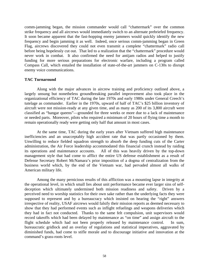comm-jamming began, the mission commander would call "chattermark" over the common strike frequency and all aircrews would immediately switch to an alternate prebriefed frequency. It soon became apparent that the fast-hopping enemy jammers would quickly identify the new frequency and begin jamming it as well. Indeed, once serious comm-jamming began in Green Flag, aircrews discovered they could not even transmit a complete "chattermark" radio call before being hopelessly cut out. That led to a realization that the "chattermark" procedure would never work in combat. It also confirmed the need for antijam radios and helped to justify funding for more serious preparations for electronic warfare, including a program called Compass Call, which entailed the installation of state-of-the-art jammers on C-130s to disrupt enemy voice communications.

#### **TAC Turnaround**

Along with the major advances in aircrew training and proficiency outlined above, a largely unsung but nonetheless groundbreaking parallel improvement also took place in the organizational efficiency of TAC during the late 1970s and early 1980s under General Creech's tutelage as commander. Earlier in the 1970s, upward of half of TAC's \$25 billion inventory of aircraft were not mission-ready at any given time, and as many as 200 of its 3,800 aircraft were classified as "hangar queens"—grounded for three weeks or more due to a lack of maintenance or needed parts. Moreover, pilots who required a minimum of 20 hours of flying time a month to remain operationally ready were getting only half that amount in most cases.

At the same time, TAC during the early years after Vietnam suffered high maintenance inefficiencies and an unacceptably high accident rate that was partly occasioned by them. Unwilling to reduce fielded squadron strength to absorb the deep funding cuts of the Carter administration, the Air Force leadership accommodated this financial crunch instead by raiding its operations and maintenance accounts. All of this was heavily driven by the top-down management style that had come to afflict the entire US defense establishment as a result of Defense Secretary Robert McNamara's prior imposition of a dogma of centralization from the business world which, by the end of the Vietnam war, had pervaded almost all walks of American military life.

Among the many pernicious results of this affliction was a mounting lapse in integrity at the operational level, in which small lies about unit performance became ever larger sins of selfdeception which ultimately undermined both mission readiness and safety. Driven by a perceived need to worship statistics for their own sake rather than the underlying facts they were supposed to represent and by a bureaucracy which insisted on hearing the "right" answers irrespective of reality, USAF aircrews would falsify their mission reports as deemed necessary to show that they had performed events such as inflight refuelings and weapons deliveries which they had in fact not conducted. Thanks to the same felt compulsion, unit supervisors would record takeoffs which had been delayed by maintenance as "on time" and assign aircraft to the flight schedule which had not been properly released by maintenance control. In sum, bureaucratic gridlock and an overlay of regulations and statistical imperatives, aggravated by diminished funds, had come to stifle morale and to discourage initiative and innovation at the command's grass-roots level.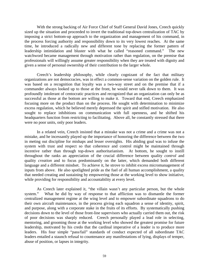With the strong backing of Air Force Chief of Staff General David Jones, Creech quickly sized up the situation and proceeded to invert the traditional top-down centralization of TAC by imposing a strict bottom-up approach to the organization and management of his command, in the process forcing authority and responsibility down to its very lowest reaches. At the same time, he introduced a radically new and different tone by replacing the former pattern of leadership intimidation and bluster with what he called "reasoned command." The new watchword became management through motivation rather than regulation, on the premise that professionals will willingly assume greater responsibility when they are treated with dignity and given a sense of personal ownership of their contribution to the larger whole.

Creech's leadership philosophy, while clearly cognizant of the fact that military organizations are not democracies, was in effect a common-sense variation on the golden rule. It was based on a recognition that loyalty was a two-way street and on the premise that if a commander always looked up to those at the front, he would never talk down to them. It was profoundly intolerant of centocratic practices and recognized that an organization can only be as successful as those at the bottom are willing to make it. Toward that end, Creech emphasized focusing more on the product than on the process. He sought with determination to minimize excess regulation, which he believed merely depressed the spirit and stifled motivation. He also sought to replace inhibitions on communication with full openness, and he shifted his headquarters function from restricting to facilitating. Above all, he constantly stressed that there were no poor units, only poor leaders.

In a related vein, Creech insisted that a mistake was not a crime and a crime was not a mistake, and he incessantly played up the importance of honoring the difference between the two in meting out discipline for mishaps and lesser oversights. His abiding goal was to infuse the system with trust and respect so that coherence and control might be maintained through incentive rather than through top-down authoritarianism. At bottom, he sought to instill throughout the ranks an appreciation of the crucial difference between quality *control* and quality *creation* and to focus predominantly on the latter, which demanded both different language and a different mindset. To achieve it, he strove to inhibit excess micromanagement of inputs from above. He also spotlighted pride as the fuel of all human accomplishment, a quality that needed creating and sustaining by empowering those at the working level to show initiative, while providing for responsibility and accountability at every level.

As Creech later explained it, "the villain wasn't any particular person, but the whole system." What he did by way of response to that affliction was to dismantle the former centralized management regime at the wing level and to empower subordinate squadrons to do their own aircraft maintenance, in the process giving each squadron a sense of identity, spirit, and purpose, along with a corporate stake in the fruits of its efforts. By systematically pushing decisions down to the level of those front-line supervisors who actually carried them out, the risk of poor decisions was sharply reduced. Creech personally played a lead role in selecting, mentoring, and grooming those at the working level who showed the greatest promise for future leadership, motivated by his credo that the cardinal imperative of a leader is to produce more leaders. His four simple "pass/fail" standards of conduct expected of all subordinate TAC leaders entailed a staunch refusal to countenance any manifestations of lying, displays of temper, abuse of position, or lapses in integrity.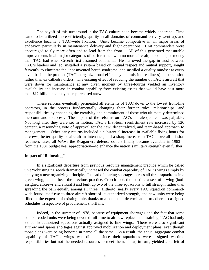The payoff of this turnaround in the TAC culture soon became widely apparent. Time came to be utilized more efficiently, quality in all domains of command activity went up, and excellence became a TAC-wide fixation. Units became competitive in all major areas of endeavor, particularly in maintenance delivery and flight operations. Unit commanders were encouraged to fly more often and to lead from the front. All of this generated measurable improvements in all major categories of performance with no more aircraft, personnel, or money than TAC had when Creech first assumed command. He narrowed the gap in trust between TAC's leaders and led, installed a system based on mutual respect and mutual support, sought fervently to eliminate the "not invented here" syndrome, and instilled a quality mindset at every level, basing the product (TAC's organizational efficiency and mission readiness) on persuasion rather than ex cathedra orders. The ensuing effect of reducing the number of TAC's aircraft that were down for maintenance at any given moment by three-fourths yielded an inventory availability and increase in combat capability from existing assets that would have cost more than \$12 billion had they been purchased anew.

These reforms eventually permeated all elements of TAC down to the lowest front-line operators, in the process fundamentally changing their former roles, relationships, and responsibilities by enhancing the creativity and commitment of those who ultimately determined the command's success. The impact of the reforms on TAC's morale quotient was palpable. Not long after they were set in motion, TAC's first-term reenlistment rate increased by 136 percent, a resounding vote of approval for the new, decentralized, and team-based approach to management. Other early returns included a substantial increase in available flying hours for aircrews, better quality of aircraft maintenance, and a sharp increase in TAC's overall mission readiness rates, all *before* the Reagan-era defense dollars finally became available in 1983 from the 1981 budget year appropriation—to enhance the nation's military strength even further.

#### **Impact of "Robusting"**

In a significant departure from previous resource management practice which he called unit "robusting," Creech dramatically increased the combat capability of TAC's wings simply by applying a new organizing principle. Instead of sharing shortages across all three squadrons in a given wing, as had been the previous practice, Creech took the existing assets of a wing (both assigned aircrews and aircraft) and built up two of the three squadrons to full strength rather than spreading the pain equally among all three. Hitherto, nearly every TAC squadron commandwide found itself two to three aircraft short of its authorized strength, and new units were being filled at the expense of existing units thanks to a command determination to adhere to assigned schedules irrespective of procurement shortfalls.

Indeed, in the summer of 1978, because of equipment shortages and the fact that some combat-coded units were being devoted full-time to aircrew replacement training, TAC had only 33 of 45 authorized squadrons actually assigned to line wings. There were also significant aircrew and spares shortages against approved mobilization and deployment plans, even though those plans were being honored in name all the same. As a result, the actual aggregate combat capability of TAC's wings was diluted, since their squadrons were assigned wartime responsibilities but not the needed resources to meet them. That, in turn, yielded a surfeit of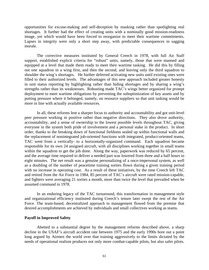opportunities for excuse-making and self-deception by masking rather than spotlighting real shortages. It further had the effect of creating units with a nominally good mission-readiness image, yet which would have been forced to reorganize to meet their wartime commitments. Lapses in integrity were only a short step away, with predictable consequences in sagging morale.

The corrective measures instituted by General Creech in 1978, with full Air Staff support, established explicit criteria for "robust" units, namely, those that were manned and equipped at a level that made them ready to meet their wartime tasking. He did this by filling out one squadron in a wing first, and then the second, and leaving only the third squadron to shoulder the wing's shortages. He further deferred activating new units until existing ones were filled to their authorized levels. The advantages of this new approach included greater honesty in unit status reporting by highlighting rather than hiding shortages and by sharing a wing's strengths rather than its weaknesses. Robusting made TAC's wings better organized for prompt deployment to meet wartime obligations by preventing the suboptimization of key assets and by putting pressure where it belonged, namely, on resource suppliers so that unit tasking would be more in line with actually available resources.

In all, these reforms lent a sharper focus to authority and accountability and got unit-level peer pressure working in positive rather than negative directions. They also drove authority, accountability, and a sense of ownership to the lowest possible levels throughout TAC, giving everyone in the system both pride of involvement and a personal stake in the product. In short order, thanks to the breaking down of functional fiefdoms sealed up within functional walls and the replacement of nonintegrated job-oriented functions with integrated, product-oriented teams, TAC went from a vertically- to a horizontally-organized command. Each squadron became responsible for its own 24 assigned aircraft, with all disciplines working together in small teams within the squadron to get the job done. Along the way, paperwork was reduced by 65 percent, and the average time required to deliver a needed part was lowered from three and a half hours to eight minutes. The net result was a genuine personalizing of a once-impersonal system, as well as a doubling of the number of peacetime training sorties flown during a given training period with no increase in operating cost. As a result of these initiatives, by the time Creech left TAC and retired from the Air Force in 1984, 85 percent of TAC's aircraft were rated mission-capable, and fighters were averaging 21 sorties a month, more than twice the level that prevailed when he assumed command in 1978.

In an enduring legacy of the TAC turnaround, this transformation in management style and organizational efficiency instituted during Creech's tenure later swept the rest of the Air Force. The team-based, decentralized approach to management flowed from the premise that desired accomplishments are achieved by individuals and small collectives working as teams.

#### **Payoff in Improved Safety**

Abetted to a substantial degree by the management reforms described above, a sharp decline in the USAF's aircraft accident rate between 1975 and the early 1990s bore out a point long argued by Airmen the world over that training aggressively to the limits dictated by the needs of operational realism produces not only more combat-capable pilots, but also safer pilots.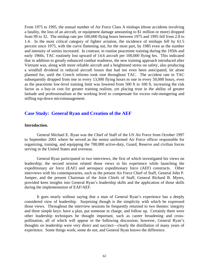From 1975 to 1995, the annual number of Air Force Class A mishaps (those accidents involving a fatality, the loss of an aircraft, or equipment damage amounting to \$1 million or more) dropped from 99 to 32. The mishap rate per 100,000 flying hours between 1975 and 1995 fell from 2.8 to 1.4. In the most critical category of fighter aviation, the incidence of mishaps fell by 61.5 percent since 1975, with the curve flattening out, for the most part, by 1985 even as the number and intensity of sorties increased. In contrast, in routine peacetime training during the 1950s and early 1960s, TAC routinely lost upward of 14.6 aircraft per 100,000 flying hrs. This indicated that in addition to greatly enhanced combat readiness, the new training approach introduced after Vietnam was, along with more reliable aircraft and a heightened stress on safety, also producing a windfall dividend in reduced aircraft losses that had not even been anticipated, let alone planned for, until the Creech reforms took root throughout TAC. The accident rate in TAC subsequently dropped from one in every 13,000 flying hours to one in every 50,000 hours, even as the peacetime low-level training limit was lowered from 500 ft to 100 ft, increasing the risk factor as a buy-in cost for greater training realism, yet placing trust in the ability of greater latitude and professionalism at the working level to compensate for excess rule-mongering and stifling top-down micromanagement.

## **Case Study: General Ryan and Creation of the AEF**

#### **Introduction.**

General Michael E. Ryan was the Chief of Staff of the US Air Force from October 1997 to September 2001 where he served as the senior uniformed Air Force officer responsible for organizing, training, and equipping the 700,000 active-duty, Guard, Reserve and civilian forces serving in the United States and overseas.

General Ryan participated in two interviews, the first of which investigated his views on leadership; the second session related those views to his experience while launching the expeditionary air force (EAF) and aerospace expeditionary force (AEF) constructs. Other interviews with his contemporaries, such as the present Air Force Chief of Staff, General John P. Jumper, and the present Chairman of the Joint Chiefs of Staff, General Richard B. Myers, provided keen insights into General Ryan's leadership skills and the application of those skills during the implementation of EAF/AEF.

 It goes nearly without saying that a man of General Ryan's experience has a deeply considered view of leadership. Surprising though is the simplicity with which he expressed those views. Throughout the interview sessions he frequently returned to two themes: integrity and three simple keys: have a plan, put someone in charge, and follow up. Certainly there were other leadership techniques he thought important, such as career broadening and crosspollination, all of which will appear in the following discussion; however, General Ryan's thoughts on leadership were very direct and succinct—clearly the distillation of many years of experience. Some things work; some do not, and General Ryan knows the difference.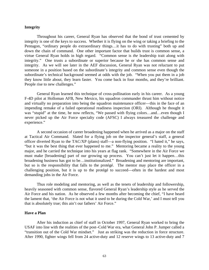#### **Integrity**

 Throughout his career, General Ryan has observed that the bond of trust cemented by integrity is one of the keys to success. Whether it is flying on the wing or taking a briefing to the Pentagon, "ordinary people do extraordinary things…it has to do with trusting" both up and down the chain of command. One other important factor that builds trust is common sense, a virtue General Ryan holds in high regard. "Common sense is *the* leadership trait along with integrity." One trusts a subordinate or superior because he or she has common sense and integrity. As we will see later in the AEF discussion, General Ryan was not reluctant to put someone in a position based on the subordinate's integrity and common sense even though the subordinate's technical background seemed at odds with the job. "When you put them in a job they know little about, they learn faster. You come back in four months, and they're brilliant. People rise to new challenges."

General Ryan learned this technique of cross-pollination early in his career. As a young F-4D pilot at Holloman AFB, New Mexico, his squadron commander thrust him without notice and virtually no preparation into being the squadron maintenance officer—this in the face of an impending remake of a failed operational readiness inspection (ORI). Although he thought it was "stupid" at the time, he now reflects, "We passed with flying colors...and...even though I never picked up the Air Force specialty code (AFSC) I always treasured the challenge and experience."

 A second occasion of career broadening happened when he arrived as a major on the staff at Tactical Air Command. Slated for a flying job on the inspector general's staff, a general officer diverted Ryan to the TAC/XP (plans) staff—a non-flying position. "I hated it," he says, "but it was the best thing that ever happened to me." Mentoring became a reality to the young major, and he carried the technique into his years at flag rank. "Somewhere in the Air Force we must make [broadening] part of our growing up process. You can't just let it happen…this broadening business has got to be…institutionalized." Broadening and mentoring are important, but so is the responsibility that falls to the protégé. The mentor may place the officer in a challenging position, but it is up to the protégé to succeed—often in the hardest and most demanding jobs in the Air Force.

 Thus role modeling and mentoring, as well as the tenets of leadership and followership, heavily seasoned with common sense, flavored General Ryan's leadership style as he served the Air Force and his nation. As he observed a few months after becoming the chief, "I have heard the lament that, 'the Air Force is not what it used to be during the Cold War,' and I must tell you that is absolutely true; this ain't our fathers' Air Force."

#### **Have a Plan**

 After his induction as chief of staff in October 1997, General Ryan worked to bring the USAF into line with the realities of the post–Cold War era, what General John P. Jumper called a "transition out of the Cold War mindset." Just as striking was the reduction in force structure. After 1990, fighter wings fell from 24 active-duty and 12 reserve wings to 13 active-duty and 7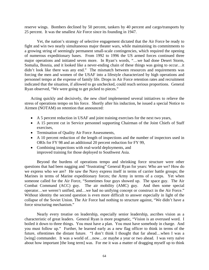reserve wings. Bombers declined by 50 percent, tankers by 40 percent and cargo/transports by 25 percent. It was the smallest Air Force since its founding in 1947.

Yet, the nation's strategy of selective engagement dictated that the Air Force be ready to fight and win two nearly simultaneous major theater wars, while maintaining its commitments to a growing string of seemingly permanent small-scale contingencies, which required the opening of numerous expeditionary bases. From 1992 to 1996 the US armed forces continued three major operations and initiated seven more. In Ryan's words, "…we had done Desert Storm, Somalia, Bosnia, and it looked like a never-ending chain of these things was going to occur…it didn't look like there was any end." The mismatch between resources and requirements was forcing the men and women of the USAF into a lifestyle characterized by high operations and personnel tempo at the expense of family life. Drops in Air Force retention rates and recruitment indicated that the situation, if allowed to go unchecked, could reach serious proportions. General Ryan observed, "We were going to get picked to pieces."

Acting quickly and decisively, the new chief implemented several initiatives to relieve the stress of operations tempo on his force. Shortly after his induction, he issued a special Notice to Airmen (NOTAM) on retention that announced:

- A 5 percent reduction in USAF and joint training exercises for the next two years,
- A 15 percent cut in Service personnel supporting Chairman of the Joint Chiefs of Staff exercises,
- Termination of Quality Air Force Assessments,
- A 10 percent reduction of the length of inspections and the number of inspectors used in ORIs for FY 98 and an additional 20 percent reduction for FY 99,
- Combining inspections with real-world deployments, and improved training for those deployed to Southwest Asia.

Beyond the burdens of operations tempo and shrinking force structure were other questions that had been nagging and "frustrating" General Ryan for years: Who are we? How do we express who we are? He saw the Navy express itself in terms of carrier battle groups; the Marines in terms of Marine expeditionary forces; the Army in terms of a corps. Yet when someone called for the Air Force, "Sometimes four guys showed up. The space guy. The Air Combat Command (ACC) guy. The air mobility (AMC) guy. And then some special operator…we weren't unified, and…we had no unifying concept or construct in the Air Force." Without identity the second question is even more difficult to answer especially in light of the collapse of the Soviet Union. The Air Force had nothing to structure against, "We didn't have a force structuring mechanism."

Nearly every treatise on leadership, especially senior leadership, ascribes vision as a characteristic of great leaders. General Ryan is more pragmatic, "Vision is an overused word. I boiled it down to three things. You must have a plan. You must have somebody in charge. And you must follow up." Further, he learned early as a new flag officer to think in terms of the future, oftentimes the distant future. "I don't think I thought that far ahead…when I was a [wing] commander. It was a world of…now…or maybe a year or two ahead. I was very naïve about how important [the long term] was. For me it was a matter of dragging myself up to think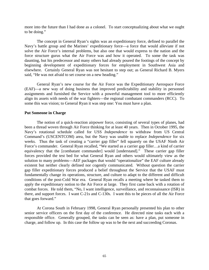more into the future than I had done as a colonel. To start conceptualizing about what we ought to be doing."

The concept in General Ryan's sights was an expeditionary force, defined to parallel the Navy's battle group and the Marines' expeditionary force—a force that would alleviate if not solve the Air Force's internal problems, but also one that would express to the nation and the force structure gurus what the Air Force was and how it operated. To some the task was daunting, but his predecessor and many others had already poured the footings of the concept by beginning development of expeditionary forces for employment in Southwest Asia and elsewhere. Certainly General Ryan was not hesitant to step out; as General Richard B. Myers said, "He was not afraid to set course on a new heading."

General Ryan's new course for the Air Force was the Expeditionary Aerospace Force (EAF)—a new way of doing business that improved predictability and stability in personnel assignments and furnished the Service with a powerful management tool to more efficiently align its assets with needs of the war fighters—the regional combatant commanders (RCC). To some this was vision; to General Ryan it was step one: You must have a plan.

#### **Put Someone in Charge**

 The notion of a quick-reaction airpower force, consisting of several types of planes, had been a thread woven through Air Force thinking for at least 40 years. Then in October 1995, the Navy's rotational schedule called for USS *Independence* to withdraw from US Central Command's (USCENTCOM) area, but the Navy was unable to replace *Independence* for six weeks. Thus the task of creating a "carrier gap filler" fell squarely on the USAF Ninth Air Force's commander. General Ryan recalled, "We started as a carrier gap filler…a kind of carrier equivalency that the [combatant commander] would [understand]." These carrier gap filler forces provided the test bed for what General Ryan and others would ultimately view as the solution to many problems—AEF packages that would "operationalize" the EAF culture already existent but neither clearly defined nor cogently communicated. Without question the carrier gap filler expeditionary forces produced a belief throughout the Service that the USAF must fundamentally change its operations, structure, and culture to adapt to the different and difficult conditions of the post-Cold War era. General Ryan recalls a meeting where he tasked them to apply the expeditionary notion to the Air Force at large. They first came back with a rotation of combat forces. He told them, "No, I want intelligence, surveillance, and reconnaissance (ISR) in there, and support forces. I want C-21s and C-130s. I want this to be pieces of all the Air Force that goes forward."

 At Corona South in February 1998, General Ryan personally presented his plan to other senior service officers on the first day of the conference. He directed nine tasks each with a responsible office. Generally grouped, the tasks can be seen as: have a plan, put someone in charge, and follow up. In this case the follow up was to be the next and succeeding Coronas.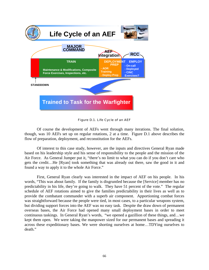

Figure D.1. Life Cycle of an AEF

 Of course the development of AEFs went through many iterations. The final solution, though, was 10 AEFs set up on regular rotations, 2 at a time. Figure D.1 above describes the flow of preparation, deployment, and reconstitution for the AEFs.

Of interest to this case study, however, are the inputs and directives General Ryan made based on his leadership style and his sense of responsibility to the people and the mission of the Air Force. As General Jumper put it, "there's no limit to what you can do if you don't care who gets the credit…He [Ryan] took something that was already out there, saw the good in it and found a way to apply it to the whole Air Force."

 First, General Ryan clearly was interested in the impact of AEF on his people. In his words, "This was about family. If the family is disgruntled because the [Service] member has no predictability in his life, they're going to walk. They have 51 percent of the vote." The regular schedule of AEF rotations aimed to give the families predictability in their lives as well as to provide the combatant commander with a superb air component. Apportioning combat forces was straightforward because the people were tied, in most cases, to a particular weapons system, but dividing support forces into the AEF was no easy task. Despite the draw down of permanent overseas bases, the Air Force had opened many small deployment bases in order to meet continuous taskings. In General Ryan's words, "we opened a gazillion of these things, and…we kept them open. We were taking the manpower sized for our permanent bases and spreading it across these expeditionary bases. We were shorting ourselves at home…TDYing ourselves to death."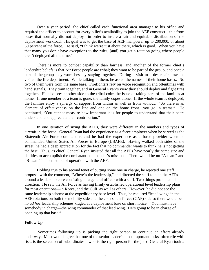Over a year period, the chief called each functional area manager to his office and required the officer to account for every billet's availability to join the AEF construct—this from bases that normally did not deploy—in order to insure a fair and equitable distribution of the deployment workload. His goal was to get the base of AEF manpower up to 200,000, or about 60 percent of the force. He said, "I think we're just about there, which is good. When you have that many you don't have exceptions to the rules, [and] you get a rotation going where people aren't deployed all the time."

 There is more to combat capability than fairness, and another of the former chief's leadership beliefs is that Air Force people are tribal; they want to be part of the group, and once a part of the group they work best by staying together. During a visit to a desert air base, he visited the fire department. While talking to them, he asked the names of their home bases. No two of them were from the same base. Firefighters rely on voice recognition and oftentimes with hand signals. They train together, and in General Ryan's view they should deploy and fight fires together. He also sees another side to the tribal coin: the issue of taking care of the families at home. If one member of a team is gone, the family copes alone. If the whole team is deployed, the families enjoy a synergy of support from within as well as from without. "So there is an element of effectiveness on the line and one on the home front…you go in teams." He continued, "You cannot measure how important it is for people to understand that their peers understand and appreciate their contribution."

 In one iteration of sizing the AEFs, they were different in the numbers and types of aircraft in the force. General Ryan had the experience as a force employer when he served as the Sixteenth Air Force commander, and he had the experience as a force provider when he commanded United States Air Forces in Europe (USAFE). Having walked both sides of the street, he had a deep appreciation for the fact that no commander wants to think he is not getting the best. Thus, as chief, General Ryan insisted that all the AEFs have nearly the same size and abilities to accomplish the combatant commander's missions. There would be no "A-team" and "B-team" in his method of operation with the AEF.

Holding true to his second tenet of putting some one in charge, he rejected one staff proposal with the comment, "Where's the leadership," and directed the staff to plan the AEFs around a leadership core consisting of a general officer with a staff. Two things prompted his direction. He saw the Air Force as having firmly established operational level leadership plans for most operations—in Korea, and the Gulf, as well as others. However, he did not see the same leadership scheme at the expeditionary base level. Thus, he required "lead" wings in the AEF rotations on both the mobility side and the combat air forces (CAF) side so there would be no *ad hoc* leadership schemes kluged at a deployment base on short notice. "You must have somebody in charge—the wing commander of that lead wing. He's going to be in charge of opening up that base."

#### **Follow Up**

 Sometimes following up is picking the right person to continue an effort already underway. Most would agree that one of the senior leader's most important tasks, often rife with risk, is the selection of subordinates—who is the right person for the job? General Ryan took a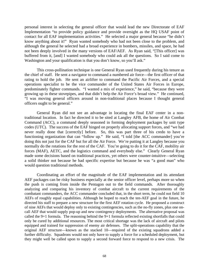personal interest in selecting the general officer that would lead the new Directorate of EAF Implementation "to provide policy guidance and provide oversight as the HQ USAF point of contact for all EAF implementation activities." He selected a major general because "he didn't know anything about it!" Ryan wanted somebody who had not been close to the problem, and although the general he selected had a broad experience in bombers, missiles, and space, he had not been deeply involved in the many versions of EAF/AEF. As Ryan said, "[This officer] was buffered from it, [and] I wanted somebody who could ask all the questions. So I said come to Washington and your qualification is that you don't know, so you'll ask."

 This cross-pollination technique is one General Ryan used frequently during his tenure as the chief of staff. He sent a navigator to command a numbered air force—the first officer of that rating to hold the job. He sent an airlifter to command the Pacific Air Forces, and a special operations specialist to be the vice commander of the United States Air Forces in Europe, predominately fighter commands. "I wanted a mix of experience," he said, "because they were growing up in these stovepipes, and that didn't help the Air Force's broad view." He continued, "I was moving general officers around in non-traditional places because I thought general officers ought to be general."

 General Ryan did not see an advantage in locating the final EAF center in a nontraditional location. In fact he directed it to be sited at Langley AFB, the home of Air Combat Command (ACC), a command deeply seasoned in forming deployment packages by unit type codes (UTC). The success of the EAF hinged on properly allocating support forces, and "we had never really done that [correctly] before. So, this was part three of his credo to have a functioning organization that can "follow up." He said, "I told [the ACC commander] you're doing this not just for the CAF but for all the Air Force. We're putting it at Langley because you normally do the rotations for the rest of the CAF. You're going to do it for the CAF, mobility air forces (MAF), AETC, and the logistics command and everybody else." Clearly General Ryan made some decisions based on traditional practices, yet others were counter-intuitive—selecting a solid thinker not because he had specific expertise but because he was "a good man" who would question traditional methods.

 Coordinating an effort of the magnitude of the EAF implementation and its attendant AEF packages can be risky business especially at the senior officer level, perhaps more so when the push is coming from inside the Pentagon out to the field commands. After thoroughly analyzing and comparing his inventory of combat aircraft to the current requirements of the combatant commanders, the ACC commander concluded that, in the short term, he could not field 10 AEFs of roughly equal capabilities. Although he hoped to reach the ten-AEF goal in the future, he directed his staff to prepare a new structure for the first AEF rotation cycle. He proposed a construct of nine AEFs that would deploy only to existing contingencies, such as the no-fly zones, plus one oncall AEF that would supply pop-up and new contingency deployments. The alternative proposal was called the 9+1 formula. The reasoning behind the 9+1 formula reflected existing shortfalls that could only be cured by additional resources. The most critical shortage was the lack of aircraft and pilots equipped and trained for suppression of enemy air defenses. The split-operations capability that the original AEF structure—known as the stacked 10—required of the existing squadrons added a further difficulty. Squadrons would not only have to supply a force for a scheduled deployment, but they might well be called upon to supply a second forward force to respond to a new crisis. The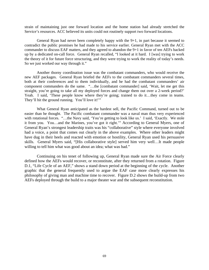strain of maintaining just one forward location and the home station had already stretched the Service's resources. ACC believed its units could not routinely support two forward locations.

General Ryan had never been completely happy with the  $9+1$ , in part because it seemed to contradict the public promises he had made to his service earlier. General Ryan met with the ACC commander to discuss EAF matters, and they agreed to abandon the 9+1 in favor of ten AEFs backed up by a dedicated on-call force. General Ryan recalled, "I looked at it hard. I [was] trying to work the theory of it for future force structuring, and they were trying to work the reality of today's needs. So we just worked our way through it."

 Another thorny coordination issue was the combatant commanders, who would receive the new AEF packages. General Ryan briefed the AEFs to the combatant commanders several times, both at their conferences and to them individually, and he had the combatant commanders' air component commanders do the same. "…the [combatant commander] said, 'Wait, let me get this straight, you're going to take all my deployed forces and change them out over a 2-week period?' Yeah. I said, 'These people know where they're going; trained to do it…they come in teams. They'll hit the ground running. You'll love it!"

What General Ryan anticipated as the hardest sell, the Pacific Command, turned out to be easier than he thought. The Pacific combatant commander was a naval man thus very experienced with rotational forces. "...the Navy said, 'You're getting to look like us.' I said, 'Exactly. We stole it from you. You…and the Marines, you've got it right.'" According to General Myers, one of General Ryan's strongest leadership traits was his "collaborative" style where everyone involved had a voice, a point that comes out clearly in the above examples. Where other leaders might have dug in their heels and reacted with emotion or hostility, General Ryan used his persuasive skills. General Myers said, "[His collaborative style] served him very well…It made people willing to tell him what was good about an idea; what was bad."

 Continuing on his tenet of following up, General Ryan made sure the Air Force clearly defined how the AEFs would recover, or reconstitute, after they returned from a rotation. Figure D.1, "Life Cycle of an AEF," shows a stand down period at the beginning of the cycle. Another graphic that the general frequently used to argue the EAF case more clearly expresses his philosophy of giving man and machine time to recover. Figure D.2 shows the build-up from two AEFs deployed through the build to a major theater war and the subsequent reconstitution.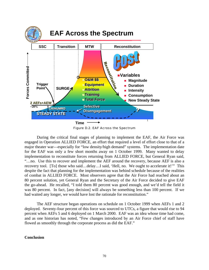

Figure D.2. EAF Across the Spectrum

During the critical final stages of planning to implement the EAF, the Air Force was engaged in Operation ALLIED FORCE, an effort that required a level of effort close to that of a major theater war—especially for "low density/high demand" systems. The implementation date for the EAF was only a few short months away on 1 October 1999. Many wanted to delay implementation to reconstitute forces returning from ALLIED FORCE, but General Ryan said, "…no. Use this to recover and implement the AEF around the recovery, because AEF is also a recovery tool. [To] those who said…delay…I said, 'Hell, no. We ought to accelerate it!'" This despite the fact that planning for the implementation was behind schedule because of the realities of combat in ALLIED FORCE. Most observers agree that the Air Force had reached about an 80 percent solution, yet General Ryan and the Secretary of the Air Force decided to give EAF the go-ahead. He recalled, "I told them 80 percent was good enough, and we'd tell the field it was 80 percent. In fact, [any decision] will always be something less than 100 percent. If we had waited any longer, we would have lost the rationale for reconstitution."

 The AEF structure began operations on schedule on 1 October 1999 when AEFs 1 and 2 deployed. Seventy-four percent of this force was sourced to UTCs, a figure that would rise to 94 percent when AEFs 5 and 6 deployed on 1 March 2000. EAF was an idea whose time had come, and as one historian has noted, "Few changes introduced by an Air Force chief of staff have flowed as smoothly through the corporate process as did the EAF."

#### **Conclusion**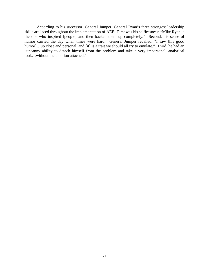According to his successor, General Jumper, General Ryan's three strongest leadership skills are laced throughout the implementation of AEF. First was his selflessness: "Mike Ryan is the one who inspired [people] and then backed them up completely." Second, his sense of humor carried the day when times were hard. General Jumper recalled, "I saw [his good humor]…up close and personal, and [it] is a trait we should all try to emulate." Third, he had an "uncanny ability to detach himself from the problem and take a very impersonal, analytical look…without the emotion attached."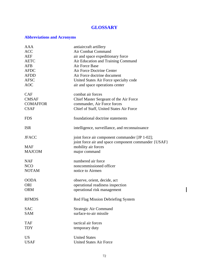# **GLOSSARY**

## **Abbreviations and Acronyms**

| AAA                                         | antiaircraft artillery                                                                                                                         |
|---------------------------------------------|------------------------------------------------------------------------------------------------------------------------------------------------|
| <b>ACC</b>                                  | Air Combat Command                                                                                                                             |
| <b>AEF</b>                                  | air and space expeditionary force                                                                                                              |
| <b>AETC</b>                                 | Air Education and Training Command                                                                                                             |
| <b>AFB</b>                                  | Air Force Base                                                                                                                                 |
| <b>AFDC</b>                                 | Air Force Doctrine Center                                                                                                                      |
| <b>AFDD</b>                                 | Air Force doctrine document                                                                                                                    |
| <b>AFSC</b>                                 | United States Air Force specialty code                                                                                                         |
| <b>AOC</b>                                  | air and space operations center                                                                                                                |
| <b>CAF</b>                                  | combat air forces                                                                                                                              |
| <b>CMSAF</b>                                | Chief Master Sergeant of the Air Force                                                                                                         |
| <b>COMAFFOR</b>                             | commander, Air Force forces                                                                                                                    |
| <b>CSAF</b>                                 | Chief of Staff, United States Air Force                                                                                                        |
| <b>FDS</b>                                  | foundational doctrine statements                                                                                                               |
| <b>ISR</b>                                  | intelligence, surveillance, and reconnaissance                                                                                                 |
| <b>JFACC</b><br><b>MAF</b><br><b>MAJCOM</b> | joint force air component commander [JP 1-02];<br>joint force air and space component commander {USAF}<br>mobility air forces<br>major command |
| <b>NAF</b>                                  | numbered air force                                                                                                                             |
| <b>NCO</b>                                  | noncommissioned officer                                                                                                                        |
| <b>NOTAM</b>                                | notice to Airmen                                                                                                                               |
| <b>OODA</b>                                 | observe, orient, decide, act                                                                                                                   |
| <b>ORI</b>                                  | operational readiness inspection                                                                                                               |
| <b>ORM</b>                                  | operational risk management                                                                                                                    |
| <b>RFMDS</b>                                | Red Flag Mission Debriefing System                                                                                                             |
| <b>SAC</b>                                  | <b>Strategic Air Command</b>                                                                                                                   |
| <b>SAM</b>                                  | surface-to-air missile                                                                                                                         |
| <b>TAF</b>                                  | tactical air forces                                                                                                                            |
| <b>TDY</b>                                  | temporary duty                                                                                                                                 |
| <b>US</b>                                   | <b>United States</b>                                                                                                                           |
| <b>USAF</b>                                 | <b>United States Air Force</b>                                                                                                                 |

 $\overline{\mathbf{I}}$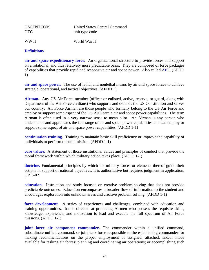| <b>USCENTCOM</b> | United States Central Command |
|------------------|-------------------------------|
| UTC.             | unit type code                |
| WW II            | World War II                  |

#### **Definitions**

**air and space expeditionary force.** An organizational structure to provide forces and support on a rotational, and thus relatively more predictable basis. They are composed of force packages of capabilities that provide rapid and responsive air and space power. Also called AEF. (AFDD 1)

**air and space power.** The use of lethal and nonlethal means by air and space forces to achieve strategic, operational, and tactical objectives. (AFDD 1)

**Airman.** Any US Air Force member (officer or enlisted, active, reserve, or guard, along with Department of the Air Force civilians) who supports and defends the US Constitution and serves our country. Air Force Airmen are those people who formally belong to the US Air Force and employ or support some aspect of the US Air Force's air and space power capabilities. The term Airman is often used in a very narrow sense to mean pilot. An Airman is any person who understands and appreciates the full range of air and space power capabilities and can employ or support some aspect of air and space power capabilities. (AFDD 1-1)

**continuation training.** Training to maintain basic skill proficiency or improve the capability of individuals to perform the unit mission. (AFDD 1-1)

**core values.** A statement of those institutional values and principles of conduct that provide the moral framework within which military action takes place. (AFDD 1-1)

**doctrine.** Fundamental principles by which the military forces or elements thereof guide their actions in support of national objectives. It is authoritative but requires judgment in application.  $(JP 1-02)$ 

**education.** Instruction and study focused on creative problem solving that does not provide predictable outcomes. Education encompasses a broader flow of information to the student and encourages exploration into unknown areas and creative problem solving. (AFDD 1-1)

force development. A series of experiences and challenges, combined with education and training opportunities, that is directed at producing Airmen who possess the requisite skills, knowledge, experience, and motivation to lead and execute the full spectrum of Air Force missions. (AFDD 1-1)

**joint force air component commander.** The commander within a unified command, subordinate unified command, or joint task force responsible to the establishing commander for making recommendations on the proper employment of assigned, attached, and/or made available for tasking air forces; planning and coordinating air operations; or accomplishing such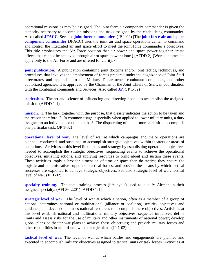operational missions as may be assigned. The joint force air component commander is given the authority necessary to accomplish missions and tasks assigned by the establishing commander. Also called **JFACC**. See also **joint force commander**. (JP 1-02) [The **joint force air and space component commander** (JFACC) uses the joint air and space operations center to command and control the integrated air and space effort to meet the joint force commander's objectives. This title emphasizes the Air Force position that air power and space power together create effects that cannot be achieved through air or space power alone.] [AFDD 2] {Words in brackets apply only to the Air Force and are offered for clarity.}

**joint publication.** A publication containing joint doctrine and/or joint tactics, techniques, and procedures that involves the employment of forces prepared under the cognizance of Joint Staff directorates and applicable to the Military Departments, combatant commands, and other authorized agencies. It is approved by the Chairman of the Joint Chiefs of Staff, in coordination with the combatant commands and Services. Also called **JP**. (JP 1-02)

leadership. The art and science of influencing and directing people to accomplish the assigned mission. (AFDD 1-1)

**mission.** 1. The task, together with the purpose, that clearly indicates the action to be taken and the reason therefore. 2. In common usage, especially when applied to lower military units, a duty assigned to an individual or unit; a task. 3. The dispatching of one or more aircraft to accomplish one particular task. (JP 1-02)

**operational level of war.** The level of war at which campaigns and major operations are planned, conducted, and sustained to accomplish strategic objectives within theaters or areas of operations. Activities at this level link tactics and strategy by establishing operational objectives needed to accomplish the strategic objectives, sequencing events to achieve the operational objectives, initiating actions, and applying resources to bring about and sustain these events. These activities imply a broader dimension of time or space than do tactics; they ensure the logistic and administrative support of tactical forces, and provide the means by which tactical successes are exploited to achieve strategic objectives. See also strategic level of war; tactical level of war. (JP 1-02)

**specialty training.** The total training process (life cycle) used to qualify Airmen in their assigned specialty. (AFI 36-2201) [AFDD 1-1]

**strategic level of war.** The level of war at which a nation, often as a member of a group of nations, determines national or multinational (alliance or coalition) security objectives and guidance, and develops and uses national resources to accomplish these objectives. Activities at this level establish national and multinational military objectives; sequence initiatives; define limits and assess risks for the use of military and other instruments of national power; develop global plans or theater war plans to achieve these objectives; and provide military forces and other capabilities in accordance with strategic plans. (JP 1-02)

**tactical level of war.** The level of war at which battles and engagements are planned and executed to accomplish military objectives assigned to tactical units or task forces. Activities at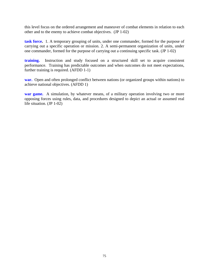this level focus on the ordered arrangement and maneuver of combat elements in relation to each other and to the enemy to achieve combat objectives. (JP 1-02)

**task force.** 1. A temporary grouping of units, under one commander, formed for the purpose of carrying out a specific operation or mission. 2. A semi-permanent organization of units, under one commander, formed for the purpose of carrying out a continuing specific task. (JP 1-02)

**training.** Instruction and study focused on a structured skill set to acquire consistent performance. Training has predictable outcomes and when outcomes do not meet expectations, further training is required. (AFDD 1-1)

**war.** Open and often prolonged conflict between nations (or organized groups within nations) to achieve national objectives. (AFDD 1)

**war game.** A simulation, by whatever means, of a military operation involving two or more opposing forces using rules, data, and procedures designed to depict an actual or assumed real life situation. (JP 1-02)